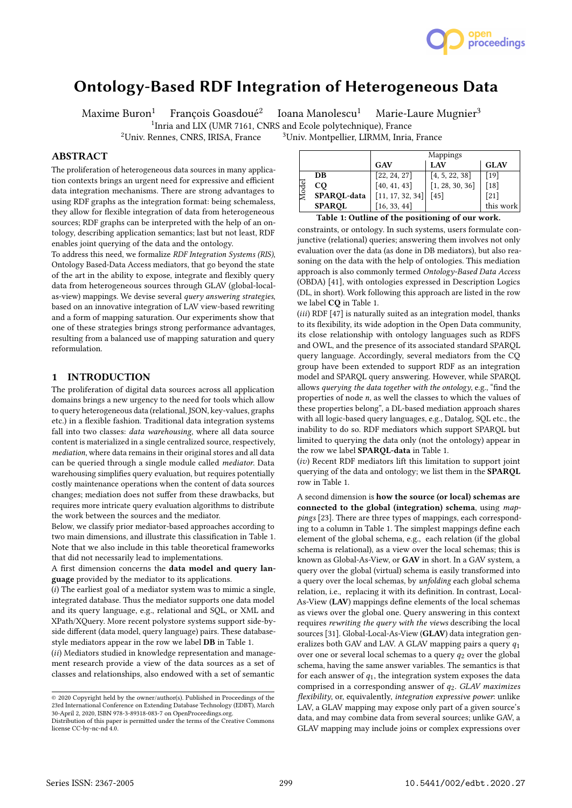

# Ontology-Based RDF Integration of Heterogeneous Data

Maxime Buron<sup>1</sup> François Goasdoué<sup>2</sup>

Ioana Manolescu $^1$  Marie-Laure Mugnier $^3$ 

<sup>1</sup>Inria and LIX (UMR 7161, CNRS and Ecole polytechnique), France

<sup>2</sup>Univ. Rennes, CNRS, IRISA, France <sup>3</sup>Univ. Montpellier, LIRMM, Inria, France

# ABSTRACT

The proliferation of heterogeneous data sources in many application contexts brings an urgent need for expressive and efficient data integration mechanisms. There are strong advantages to using RDF graphs as the integration format: being schemaless, they allow for flexible integration of data from heterogeneous sources; RDF graphs can be interpreted with the help of an ontology, describing application semantics; last but not least, RDF enables joint querying of the data and the ontology.

To address this need, we formalize RDF Integration Systems (RIS), Ontology Based-Data Access mediators, that go beyond the state of the art in the ability to expose, integrate and flexibly query data from heterogeneous sources through GLAV (global-localas-view) mappings. We devise several query answering strategies, based on an innovative integration of LAV view-based rewriting and a form of mapping saturation. Our experiments show that one of these strategies brings strong performance advantages, resulting from a balanced use of mapping saturation and query reformulation.

## 1 INTRODUCTION

The proliferation of digital data sources across all application domains brings a new urgency to the need for tools which allow to query heterogeneous data (relational, JSON, key-values, graphs etc.) in a flexible fashion. Traditional data integration systems fall into two classes: data warehousing, where all data source content is materialized in a single centralized source, respectively, mediation, where data remains in their original stores and all data can be queried through a single module called mediator. Data warehousing simplifies query evaluation, but requires potentially costly maintenance operations when the content of data sources changes; mediation does not suffer from these drawbacks, but requires more intricate query evaluation algorithms to distribute the work between the sources and the mediator.

Below, we classify prior mediator-based approaches according to two main dimensions, and illustrate this classification in Table 1. Note that we also include in this table theoretical frameworks that did not necessarily lead to implementations.

A first dimension concerns the data model and query language provided by the mediator to its applications.

 $(i)$  The earliest goal of a mediator system was to mimic a single, integrated database. Thus the mediator supports one data model and its query language, e.g., relational and SQL, or XML and XPath/XQuery. More recent polystore systems support side-byside different (data model, query language) pairs. These databasestyle mediators appear in the row we label DB in Table 1.

(ii) Mediators studied in knowledge representation and management research provide a view of the data sources as a set of classes and relationships, also endowed with a set of semantic

|  |               | Mappings         |                 |           |  |  |  |  |  |  |  |  |  |
|--|---------------|------------------|-----------------|-----------|--|--|--|--|--|--|--|--|--|
|  | <b>GLAV</b>   |                  |                 |           |  |  |  |  |  |  |  |  |  |
|  | DB            | [22, 24, 27]     | [4, 5, 22, 38]  | [19]      |  |  |  |  |  |  |  |  |  |
|  | CQ            | [40, 41, 43]     | [1, 28, 30, 36] | $[18]$    |  |  |  |  |  |  |  |  |  |
|  | SPARQL-data   | [11, 17, 32, 34] | $[45]$          | [21]      |  |  |  |  |  |  |  |  |  |
|  | <b>SPAROL</b> | [16, 33, 44]     |                 | this work |  |  |  |  |  |  |  |  |  |

Table 1: Outline of the positioning of our work.

constraints, or ontology. In such systems, users formulate conjunctive (relational) queries; answering them involves not only evaluation over the data (as done in DB mediators), but also reasoning on the data with the help of ontologies. This mediation approach is also commonly termed Ontology-Based Data Access (OBDA) [41], with ontologies expressed in Description Logics (DL, in short). Work following this approach are listed in the row we label CQ in Table 1.

(iii) RDF [47] is naturally suited as an integration model, thanks to its flexibility, its wide adoption in the Open Data community, its close relationship with ontology languages such as RDFS and OWL, and the presence of its associated standard SPARQL query language. Accordingly, several mediators from the CQ group have been extended to support RDF as an integration model and SPARQL query answering. However, while SPARQL allows querying the data together with the ontology, e.g., "find the properties of node n, as well the classes to which the values of these properties belong", a DL-based mediation approach shares with all logic-based query languages, e.g., Datalog, SQL etc., the inability to do so. RDF mediators which support SPARQL but limited to querying the data only (not the ontology) appear in the row we label SPARQL-data in Table 1.

(iv) Recent RDF mediators lift this limitation to support joint querying of the data and ontology; we list them in the SPARQL row in Table 1.

A second dimension is how the source (or local) schemas are connected to the global (integration) schema, using mappings [23]. There are three types of mappings, each corresponding to a column in Table 1. The simplest mappings define each element of the global schema, e.g., each relation (if the global schema is relational), as a view over the local schemas; this is known as Global-As-View, or GAV in short. In a GAV system, a query over the global (virtual) schema is easily transformed into a query over the local schemas, by unfolding each global schema relation, i.e., replacing it with its definition. In contrast, Local-As-View (LAV) mappings define elements of the local schemas as views over the global one. Query answering in this context requires rewriting the query with the views describing the local sources [31]. Global-Local-As-View (GLAV) data integration generalizes both GAV and LAV. A GLAV mapping pairs a query  $q_1$ over one or several local schemas to a query  $q_2$  over the global schema, having the same answer variables. The semantics is that for each answer of  $q_1$ , the integration system exposes the data comprised in a corresponding answer of  $q_2$ . GLAV maximizes flexibility, or, equivalently, integration expressive power: unlike LAV, a GLAV mapping may expose only part of a given source's data, and may combine data from several sources; unlike GAV, a GLAV mapping may include joins or complex expressions over

<sup>©</sup> 2020 Copyright held by the owner/author(s). Published in Proceedings of the 23rd International Conference on Extending Database Technology (EDBT), March 30-April 2, 2020, ISBN 978-3-89318-083-7 on OpenProceedings.org.

Distribution of this paper is permitted under the terms of the Creative Commons license CC-by-nc-nd 4.0.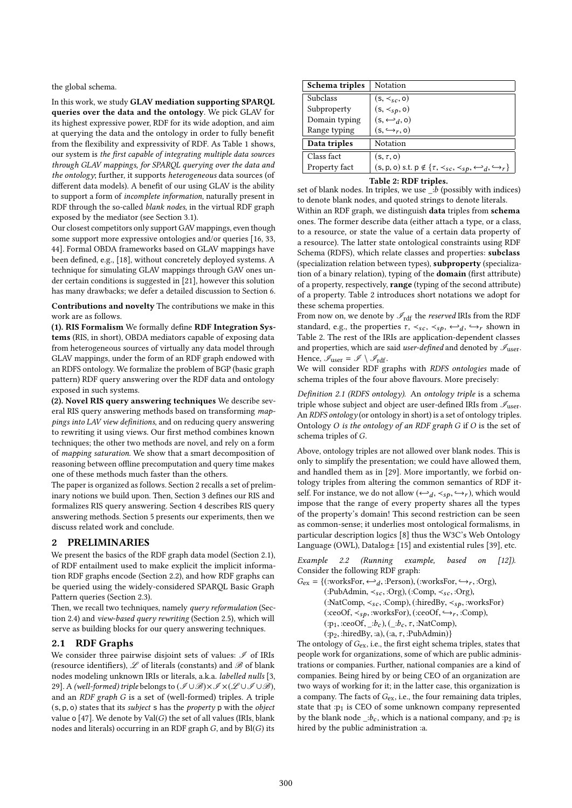the global schema.

In this work, we study GLAV mediation supporting SPARQL queries over the data and the ontology. We pick GLAV for its highest expressive power, RDF for its wide adoption, and aim at querying the data and the ontology in order to fully benefit from the flexibility and expressivity of RDF. As Table 1 shows, our system is the first capable of integrating multiple data sources through GLAV mappings, for SPARQL querying over the data and the ontology; further, it supports heterogeneous data sources (of different data models). A benefit of our using GLAV is the ability to support a form of incomplete information, naturally present in RDF through the so-called blank nodes, in the virtual RDF graph exposed by the mediator (see Section 3.1).

Our closest competitors only support GAV mappings, even though some support more expressive ontologies and/or queries [16, 33, 44]. Formal OBDA frameworks based on GLAV mappings have been defined, e.g., [18], without concretely deployed systems. A technique for simulating GLAV mappings through GAV ones under certain conditions is suggested in [21], however this solution has many drawbacks; we defer a detailed discussion to Section 6.

Contributions and novelty The contributions we make in this work are as follows.

(1). RIS Formalism We formally define RDF Integration Systems (RIS, in short), OBDA mediators capable of exposing data from heterogeneous sources of virtually any data model through GLAV mappings, under the form of an RDF graph endowed with an RDFS ontology. We formalize the problem of BGP (basic graph pattern) RDF query answering over the RDF data and ontology exposed in such systems.

(2). Novel RIS query answering techniques We describe several RIS query answering methods based on transforming mappings into LAV view definitions, and on reducing query answering to rewriting it using views. Our first method combines known techniques; the other two methods are novel, and rely on a form of mapping saturation. We show that a smart decomposition of reasoning between offline precomputation and query time makes one of these methods much faster than the others.

The paper is organized as follows. Section 2 recalls a set of preliminary notions we build upon. Then, Section 3 defines our RIS and formalizes RIS query answering. Section 4 describes RIS query answering methods. Section 5 presents our experiments, then we discuss related work and conclude.

#### 2 PRELIMINARIES

We present the basics of the RDF graph data model (Section 2.1), of RDF entailment used to make explicit the implicit information RDF graphs encode (Section 2.2), and how RDF graphs can be queried using the widely-considered SPARQL Basic Graph Pattern queries (Section 2.3).

Then, we recall two techniques, namely query reformulation (Section 2.4) and view-based query rewriting (Section 2.5), which will serve as building blocks for our query answering techniques.

# 2.1 RDF Graphs

We consider three pairwise disjoint sets of values:  $\mathscr I$  of IRIs (resource identifiers),  $\mathscr L$  of literals (constants) and  $\mathscr B$  of blank nodes modeling unknown IRIs or literals, a.k.a. labelled nulls [3, 29]. A (well-formed) triple belongs to  $(\mathscr{I}\cup\mathscr{B})\times\mathscr{I}\times(\mathscr{L}\cup\mathscr{I}\cup\mathscr{B})$ , and an RDF graph G is a set of (well-formed) triples. A triple (s, <sup>p</sup>, <sup>o</sup>) states that its subject <sup>s</sup> has the property <sup>p</sup> with the object value o [47]. We denote by  $Val(G)$  the set of all values (IRIs, blank nodes and literals) occurring in an RDF graph  $G$ , and by  $Bl(G)$  its

| Schema triples  | Notation                                                                                          |  |  |  |  |  |  |
|-----------------|---------------------------------------------------------------------------------------------------|--|--|--|--|--|--|
| <b>Subclass</b> | $(s, \prec_{sc}, o)$                                                                              |  |  |  |  |  |  |
| Subproperty     | $(s, \prec_{sp}, o)$                                                                              |  |  |  |  |  |  |
| Domain typing   | $(s, \leftarrow_d, o)$                                                                            |  |  |  |  |  |  |
| Range typing    | $(s, \hookrightarrow_r, o)$                                                                       |  |  |  |  |  |  |
| Data triples    | Notation                                                                                          |  |  |  |  |  |  |
| Class fact      | $(s, \tau, o)$                                                                                    |  |  |  |  |  |  |
| Property fact   | $(s, p, o)$ s.t. $p \notin \{\tau, \prec_{sc}, \prec_{sp}, \hookleftarrow_d, \hookrightarrow_r\}$ |  |  |  |  |  |  |
|                 |                                                                                                   |  |  |  |  |  |  |

#### Table 2: RDF triples.

set of blank nodes. In triples, we use  $\therefore$  b (possibly with indices) to denote blank nodes, and quoted strings to denote literals.

Within an RDF graph, we distinguish data triples from schema ones. The former describe data (either attach a type, or a class, to a resource, or state the value of a certain data property of a resource). The latter state ontological constraints using RDF Schema (RDFS), which relate classes and properties: subclass (specialization relation between types), subproperty (specialization of a binary relation), typing of the domain (first attribute) of a property, respectively, range (typing of the second attribute) of a property. Table 2 introduces short notations we adopt for these schema properties.

From now on, we denote by  $\mathscr{I}_{\text{rdf}}$  the *reserved* IRIs from the RDF standard, e.g., the properties  $\tau$ ,  $\prec_{sc}$ ,  $\prec_{sp}$ ,  $\leftrightarrow_d$ ,  $\leftrightarrow_r$  shown in Table 2. The rest of the IRIs are application-dependent classes Table 2. The rest of the IRIs are application-dependent classes and properties, which are said user-defined and denoted by  $\mathscr{I}_{\text{user}}$ . Hence,  $\mathscr{I}_{user} = \mathscr{I} \setminus \mathscr{I}_{rdf}$ .

We will consider RDF graphs with RDFS ontologies made of schema triples of the four above flavours. More precisely:

Definition 2.1 (RDFS ontology). An ontology triple is a schema triple whose subject and object are user-defined IRIs from  $\mathscr{I}_{\text{user}}$ . An RDFS ontology (or ontology in short) is a set of ontology triples. Ontology O is the ontology of an RDF graph G if O is the set of schema triples of G.

Above, ontology triples are not allowed over blank nodes. This is only to simplify the presentation; we could have allowed them, and handled them as in [29]. More importantly, we forbid ontology triples from altering the common semantics of RDF itself. For instance, we do not allow  $(\leftarrow_d, \prec_{sp}, \hookrightarrow_r)$ , which would<br>impose that the range of every property shares all the types impose that the range of every property shares all the types of the property's domain! This second restriction can be seen as common-sense; it underlies most ontological formalisms, in particular description logics [8] thus the W3C's Web Ontology Language (OWL),  $Datalog<sub>±</sub>$  [15] and existential rules [39], etc.

Example 2.2 (Running example, based on [12]). Consider the following RDF graph:

 $G_{ex} = \{(\text{worksFor}, \leftarrow_d, \text{Person}), (\text{worksFor}, \leftarrow_r, \text{.org}), (\text{Only} \times \text{Org}) \}$  $(:PubAdmin, <_{sc}, :Org), (:Comp, <_{sc}, :Org),$  $(:\text{NatComp}, \prec_{sc}, : \text{Comp}), (:\text{hiredBy}, \prec_{sp}, : \text{worksFor})$  $(:ceoOf, <_{sp}, :worksFor), (:ceoOf,  $\hookrightarrow_r, :Comp),$$  $(:p_1, :ceoOf, \underline{.}:b_c), (\underline{.}:b_c, \tau, :NatComp),$ (:p2, :hiredBy, :a), (:a, τ , :PubAdmin)}

The ontology of  $G_{\text{ex}}$ , i.e., the first eight schema triples, states that people work for organizations, some of which are public administrations or companies. Further, national companies are a kind of companies. Being hired by or being CEO of an organization are two ways of working for it; in the latter case, this organization is a company. The facts of  $G_{ex}$ , i.e., the four remaining data triples, state that  $:p_1$  is CEO of some unknown company represented by the blank node  $\Box b_c$ , which is a national company, and :p<sub>2</sub> is hired by the public administration :a.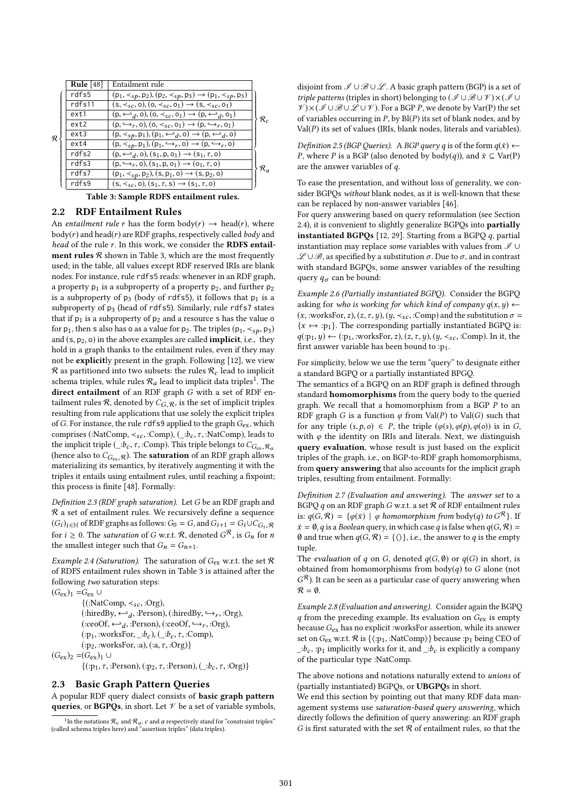|                                        | Rule $[48]$ | Entailment rule                                                                           |                 |  |  |  |  |  |  |
|----------------------------------------|-------------|-------------------------------------------------------------------------------------------|-----------------|--|--|--|--|--|--|
|                                        | rdfs5       | $(p_1, \prec_{sp}, p_2), (p_2, \prec_{sp}, p_3) \rightarrow (p_1, \prec_{sp}, p_3)$       |                 |  |  |  |  |  |  |
|                                        | rdfs11      | $(s, \prec_{sc}, 0), (o, \prec_{sc}, o_1) \rightarrow (s, \prec_{sc}, o_1)$               |                 |  |  |  |  |  |  |
| R                                      | ext1        | $(p, \leftarrow_d, o), (o, \prec_{sc}, o_1) \rightarrow (p, \leftarrow_d, o_1)$           | $\mathcal{R}_c$ |  |  |  |  |  |  |
|                                        | ext2        | $(p, \hookrightarrow_r, o), (o, \prec_{sc}, o_1) \rightarrow (p, \hookrightarrow_r, o_1)$ |                 |  |  |  |  |  |  |
|                                        | $ext{3}$    | $(p, \prec_{sp}, p_1), (p_1, \rightarrowtail_d, o) \rightarrow (p, \rightarrowtail_d, o)$ |                 |  |  |  |  |  |  |
|                                        | ext4        | $(p, \prec_{sp}, p_1), (p_1, \hookrightarrow_r, o) \rightarrow (p, \hookrightarrow_r, o)$ |                 |  |  |  |  |  |  |
|                                        | rdfs2       | $(p, \leftarrow_d, o), (s_1, p, o_1) \rightarrow (s_1, \tau, o)$                          |                 |  |  |  |  |  |  |
|                                        | rdfs3       | $(p, \hookrightarrow_r, o), (s_1, p, o_1) \rightarrow (o_1, \tau, o)$                     | $\mathcal{R}_a$ |  |  |  |  |  |  |
|                                        | rdfs7       | $(p_1, \prec_{sp}, p_2), (s, p_1, o) \rightarrow (s, p_2, o)$                             |                 |  |  |  |  |  |  |
|                                        | rdfs9       | $(s, \prec_{sc}, o), (s_1, \tau, s) \rightarrow (s_1, \tau, o)$                           |                 |  |  |  |  |  |  |
| Table 3: Sample RDFS entailment rules. |             |                                                                                           |                 |  |  |  |  |  |  |

#### 2.2 RDF Entailment Rules

An entailment rule r has the form body(r)  $\rightarrow$  head(r), where  $body(r)$  and head( $r$ ) are RDF graphs, respectively called body and head of the rule r. In this work, we consider the RDFS entailment rules  $R$  shown in Table 3, which are the most frequently used; in the table, all values except RDF reserved IRIs are blank nodes. For instance, rule rdfs5 reads: whenever in an RDF graph, a property  $p_1$  is a subproperty of a property  $p_2$ , and further  $p_2$ is a subproperty of  $p_3$  (body of rdfs5), it follows that  $p_1$  is a subproperty of p<sub>3</sub> (head of rdfs5). Similarly, rule rdfs7 states that if  $p_1$  is a subproperty of  $p_2$  and a resource s has the value o for  $p_1$ , then s also has o as a value for  $p_2$ . The triples ( $p_1, \prec_{sp}, p_3$ ) and  $(s, p_2, o)$  in the above examples are called **implicit**, i.e., they hold in a graph thanks to the entailment rules, even if they may not be explicitly present in the graph. Following [12], we view  $R$  as partitioned into two subsets: the rules  $R_c$  lead to implicit schema triples, while rules  $\mathcal{R}_a$  lead to implicit data triples<sup>1</sup>. The direct entailment of an RDF graph G with a set of RDF entailment rules  $R$ , denoted by  $C_{G,R}$ , is the set of implicit triples resulting from rule applications that use solely the explicit triples of G. For instance, the rule rdfs9 applied to the graph  $G_{ex}$ , which comprises (:NatComp,  $\prec_{sc}$ , :Comp), (\_:b<sub>c</sub>,  $\tau$ , :NatComp), leads to the implicit triple (\_: $\overline{b}_c$ ,  $\tau$ , :Comp). This triple belongs to  $C_{G_{\rm ex}}, \mathcal{R}_a$ (hence also to  $C_{G_{\text{ev}},\mathcal{R}}$ ). The **saturation** of an RDF graph allows materializing its semantics, by iteratively augmenting it with the triples it entails using entailment rules, until reaching a fixpoint; this process is finite [48]. Formally:

Definition 2.3 (RDF graph saturation). Let G be an RDF graph and  $R$  a set of entailment rules. We recursively define a sequence  $(G_i)_{i \in \mathbb{N}}$  of RDF graphs as follows:  $G_0 = G$ , and  $G_{i+1} = G_i \cup C_{G_i},$ <br>for  $i > 0$ . The extension of C with  $\mathcal{P}_i$  denoted  $G_0^R$ , is C, for r for  $i \ge 0$ . The *saturation* of G w.r.t. R, denoted  $G^R$ , is  $G_n$  for *n* the smallest integer such that  $G = G$ the smallest integer such that  $G_n = G_{n+1}$ .

Example 2.4 (Saturation). The saturation of  $G_{\text{ex}}$  w.r.t. the set  $\mathcal R$ of RDFS entailment rules shown in Table 3 is attained after the following two saturation steps:  $(G_{ex})_1 = G_{ex} \cup$ 

 $\{(:\text{NatComp}, \prec_{sc}, :\text{Org}),\}$  $(\therefore \text{hiredBy}, \leftarrow_d, \text{Person})$ ,  $(\therefore \text{hiredBy}, \leftarrow_r, \text{.org})$ ,  $(\therefore \text{conOf}, \leftarrow, \text{Person})$  $(\text{ceoOf}, \leftrightarrow_d, \text{?Person}), (\text{ceoOf}, \leftrightarrow_r, \text{:Org}),$ <br>  $(\text{re. worker}, \rightarrow_h)$  ( $\rightarrow_f, \text{:Comp})$  $(:p_1, :worksFor, \_\cdot:b_c), (\_\cdot:b_c, \tau, :Comp),$ (:p2, :worksFor, :a), (:a, τ , :Org)}  $(G_{ex})_2 = (G_{ex})_1 \cup$  $\{(\text{:}p_1, \tau, \text{:Person}), (\text{:}p_2, \tau, \text{:Person}), (\underline{\text{:}}b_c, \tau, \text{:Org})\}$ 

#### 2.3 Basic Graph Pattern Queries

A popular RDF query dialect consists of basic graph pattern queries, or BGPQs, in short. Let  $\mathscr V$  be a set of variable symbols, disjoint from  $\mathscr{I} \cup \mathscr{B} \cup \mathscr{L}$ . A basic graph pattern (BGP) is a set of triple patterns (triples in short) belonging to  $(\mathcal{I}\cup\mathcal{B}\cup\mathcal{V})\times(\mathcal{I}\cup\mathcal{V})$  $V \times (I \cup B \cup I \cup V)$ . For a BGP P, we denote by Var(P) the set of variables occurring in  $P$ , by  $B(P)$  its set of blank nodes, and by  $Val(P)$  its set of values (IRIs, blank nodes, literals and variables).

Definition 2.5 (BGP Queries). A BGP query q is of the form  $q(\bar{x}) \leftarrow$ *P*, where *P* is a BGP (also denoted by body(q)), and  $\bar{x} \subseteq \text{Var}(P)$ are the answer variables of q.

To ease the presentation, and without loss of generality, we consider BGPQs without blank nodes, as it is well-known that these can be replaced by non-answer variables [46].

For query answering based on query reformulation (see Section 2.4), it is convenient to slightly generalize BGPQs into partially instantiated BGPQs [12, 29]. Starting from a BGPQ  $q$ , partial instantiation may replace some variables with values from  $\mathscr I \cup$  $\mathscr{L}\cup\mathscr{B}$ , as specified by a substitution  $\sigma$ . Due to  $\sigma$ , and in contrast with standard BGPQs, some answer variables of the resulting query  $q_{\sigma}$  can be bound:

Example 2.6 (Partially instantiated BGPQ). Consider the BGPQ asking for who is working for which kind of company  $q(x, y) \leftarrow$  $(x, :worksFor, z), (z, \tau, y), (y, \prec_{sc}, :Comp)$  and the substitution  $\sigma =$  ${x \mapsto :p_1}$ . The corresponding partially instantiated BGPQ is:  $q(:,p_1,y) \leftarrow (p_1, \text{ worksFor}, z), (z, \tau, y), (y, \prec_{sc}, \text{comp}).$  In it, the first answer variable has been bound to : $p_1$ .

For simplicity, below we use the term "query" to designate either a standard BGPQ or a partially instantiated BPGQ.

The semantics of a BGPQ on an RDF graph is defined through standard homomorphisms from the query body to the queried graph. We recall that a homomorphism from a BGP  $\overline{P}$  to an RDF graph G is a function  $\varphi$  from Val(P) to Val(G) such that for any triple  $(s, p, o) \in P$ , the triple  $(\varphi(s), \varphi(p), \varphi(o))$  is in G, with  $\varphi$  the identity on IRIs and literals. Next, we distinguish query evaluation, whose result is just based on the explicit triples of the graph, i.e., on BGP-to-RDF graph homomorphisms, from query answering that also accounts for the implicit graph triples, resulting from entailment. Formally:

Definition 2.7 (Evaluation and answering). The answer set to a BGPQ  $q$  on an RDF graph G w.r.t. a set  $R$  of RDF entailment rules is:  $q(G, \mathcal{R}) = \{ \varphi(\bar{x}) \mid \varphi \text{ homomorphism from body}(q) \text{ to } G^{\mathcal{R}} \}.$  If  $\bar{x} = \emptyset$ , given Boolean query in which case g is folse when  $q(G, \mathcal{R})$  $\bar{x} = \emptyset$ , q is a Boolean query, in which case q is false when  $q(G, \mathcal{R}) =$ Ø and true when  $q(G, \mathcal{R}) = \{ \langle \rangle \}$ , i.e., the answer to q is the empty tuple.

The *evaluation* of q on G, denoted  $q(G, \emptyset)$  or  $q(G)$  in short, is obtained from homomorphisms from  $body(q)$  to G alone (not  $\mathcal{R} = \emptyset$ .  $G^{\mathcal{R}}$ ). It can be seen as a particular case of query answering when

Example 2.8 (Evaluation and answering). Consider again the BGPQ  $q$  from the preceding example. Its evaluation on  $G_{ex}$  is empty because  $G_{ex}$  has no explicit :worksFor assertion, while its answer set on  $G_{\text{ex}}$  w.r.t.  $\mathcal R$  is  $\{\langle :p_1, : \text{NatComp}\rangle\}$  because : $p_1$  being CEO of  $\therefore b_c$ , :p<sub>1</sub> implicitly works for it, and  $\therefore b_c$  is explicitly a company of the particular type :NatComp.

The above notions and notations naturally extend to unions of (partially instantiated) BGPQs, or UBGPQs in short.

We end this section by pointing out that many RDF data management systems use saturation-based query answering, which directly follows the definition of query answering: an RDF graph G is first saturated with the set  $R$  of entailment rules, so that the

<sup>&</sup>lt;sup>1</sup>In the notations  $\mathcal{R}_c$  and  $\mathcal{R}_a$ , c and a respectively stand for "constraint triples"<br>ed schema triples here) and "assertion triples" (data triples) (called schema triples here) and "assertion triples" (data triples).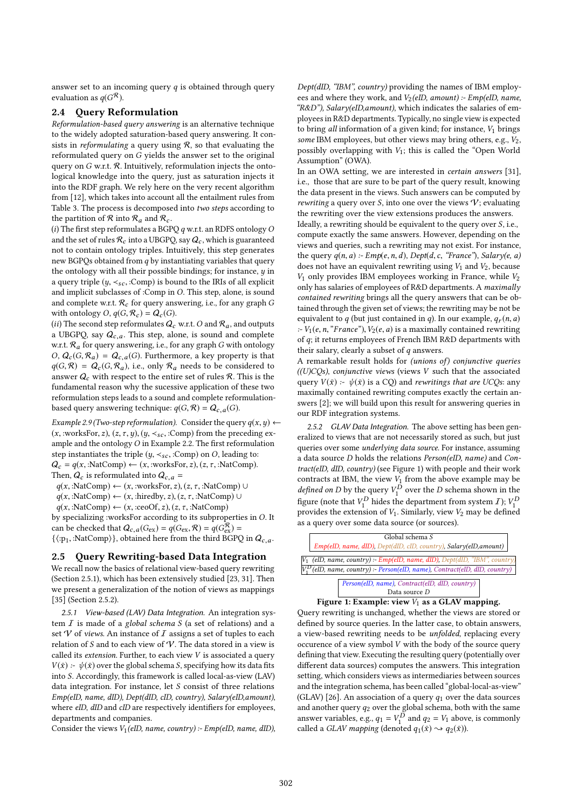answer set to an incoming query  $q$  is obtained through query evaluation as  $q(G^{\mathcal{R}})$ .

#### 2.4 Query Reformulation

Reformulation-based query answering is an alternative technique to the widely adopted saturation-based query answering. It consists in *reformulating* a query using  $\mathcal{R}$ , so that evaluating the reformulated query on G yields the answer set to the original query on  $G$  w.r.t.  $R$ . Intuitively, reformulation injects the ontological knowledge into the query, just as saturation injects it into the RDF graph. We rely here on the very recent algorithm from [12], which takes into account all the entailment rules from Table 3. The process is decomposed into two steps according to the partition of  $\mathcal R$  into  $\mathcal R_a$  and  $\mathcal R_c$ .

(i) The first step reformulates a BGPQ  $q$  w.r.t. an RDFS ontology  $O$ and the set of rules  $\mathcal{R}_c$  into a UBGPO, say  $Q_c$ , which is guaranteed not to contain ontology triples. Intuitively, this step generates new BGPQs obtained from  $q$  by instantiating variables that query the ontology with all their possible bindings; for instance,  $y$  in a query triple  $(y, \prec_{sc} : Comp)$  is bound to the IRIs of all explicit and implicit subclasses of :Comp in O. This step, alone, is sound and complete w.r.t.  $\mathcal{R}_c$  for query answering, i.e., for any graph G with ontology O,  $q(G, \mathcal{R}_c) = Q_c(G)$ .

(ii) The second step reformulates  $Q_c$  w.r.t. O and  $\mathcal{R}_a$ , and outputs a UBGPQ, say  $Q_{c,a}$ . This step, alone, is sound and complete w.r.t.  $\mathcal{R}_a$  for query answering, i.e., for any graph G with ontology  $O, Q_c(G, \mathcal{R}_a) = Q_{c,a}(G)$ . Furthermore, a key property is that  $q(G, \mathcal{R}) = Q_c(G, \mathcal{R}_a)$ , i.e., only  $\mathcal{R}_a$  needs to be considered to answer  $Q_c$  with respect to the entire set of rules  $R$ . This is the fundamental reason why the sucessive application of these two reformulation steps leads to a sound and complete reformulationbased query answering technique:  $q(G, \mathcal{R}) = Q_{c,a}(G)$ .

Example 2.9 (Two-step reformulation). Consider the query  $q(x, y) \leftarrow$  $(x, :worksFor, z), (z, \tau, y), (y, <_{sc}, :Comp)$  from the preceding example and the ontology  $O$  in Example 2.2. The first reformulation step instantiates the triple  $(y, \prec_{sc}, :Comp)$  on O, leading to:  $Q_c = q(x, : \text{NatComp}) \leftarrow (x, : \text{worksFor}, z), (z, \tau, : \text{NatComp}).$ Then,  $Q_c$  is reformulated into  $Q_{c,a}$  =

 $q(x, : \text{NatComp}) \leftarrow (x, : \text{worksFor}, z), (z, \tau, : \text{NatComp}) \cup$ 

 $q(x, : \text{NatComp}) \leftarrow (x, : \text{hiredby}, z), (z, \tau, : \text{NatComp}) \cup$ 

 $q(x, : \text{NatComp}) \leftarrow (x, : \text{ceoOf}, z), (z, \tau, : \text{NatComp})$ 

by specializing :worksFor according to its subproperties in O. It can be checked that  $Q_{c,a}(G_{ex}) = q(G_{ex}, \mathcal{R}) = q(G_{ex}^{\mathcal{R}})$ <br> $f(m \cdot \text{NatCom})$  obtained here from the third BCPC  $\{\langle :p_1, : \text{NatComp}\rangle\}$ , obtained here from the third BGPQ in  $Q_{c,a}$ .

#### 2.5 Query Rewriting-based Data Integration

We recall now the basics of relational view-based query rewriting (Section 2.5.1), which has been extensively studied [23, 31]. Then we present a generalization of the notion of views as mappings [35] (Section 2.5.2).

2.5.1 View-based (LAV) Data Integration. An integration system  $I$  is made of a global schema  $S$  (a set of relations) and a set  $V$  of views. An instance of  $I$  assigns a set of tuples to each relation of S and to each view of  $\mathcal V$ . The data stored in a view is called its *extension*. Further, to each view  $V$  is associated a query  $V(\bar{x})$  :-  $\psi(\bar{x})$  over the global schema S, specifying how its data fits into S. Accordingly, this framework is called local-as-view (LAV) data integration. For instance, let S consist of three relations Emp(eID, name, dID), Dept(dID, cID, country), Salary(eID,amount), where eID, dID and cID are respectively identifiers for employees, departments and companies.

Consider the views  $V_1(eID, name, country)$  :-  $Emp(eID, name, dID)$ ,

Dept(dID, "IBM", country) providing the names of IBM employees and where they work, and  $V_2$ (eID, amount) :- Emp(eID, name, "R&D"), Salary(eID,amount), which indicates the salaries of employees in R&D departments. Typically, no single view is expected to bring all information of a given kind; for instance,  $V_1$  brings some IBM employees, but other views may bring others, e.g.,  $V_2$ , possibly overlapping with  $V_1$ ; this is called the "Open World Assumption" (OWA).

In an OWA setting, we are interested in certain answers [31], i.e., those that are sure to be part of the query result, knowing the data present in the views. Such answers can be computed by rewriting a query over  $S$ , into one over the views  $V$ ; evaluating the rewriting over the view extensions produces the answers. Ideally, a rewriting should be equivalent to the query over  $S$ , i.e.,

compute exactly the same answers. However, depending on the views and queries, such a rewriting may not exist. For instance, the query  $q(n, a)$  :-  $Emp(e, n, d)$ ,  $Depth(d, c, "France"),$  Salary(e, a) does not have an equivalent rewriting using  $V_1$  and  $V_2$ , because  $V_1$  only provides IBM employees working in France, while  $V_2$ only has salaries of employees of R&D departments. A maximally contained rewriting brings all the query answers that can be obtained through the given set of views; the rewriting may be not be equivalent to  $q$  (but just contained in  $q$ ). In our example,  $q_r(n, a)$ :-  $V_1(e, n, "France"), V_2(e, a)$  is a maximally contained rewriting of q; it returns employees of French IBM R&D departments with their salary, clearly a subset of  $q$  answers.

A remarkable result holds for (unions of) conjunctive queries  $((U)CQs)$ , conjunctive views (views V such that the associated query  $V(\bar{x})$  :-  $\psi(\bar{x})$  is a CQ) and *rewritings that are UCQs*: any maximally contained rewriting computes exactly the certain answers [2]; we will build upon this result for answering queries in our RDF integration systems.

2.5.2 GLAV Data Integration. The above setting has been generalized to views that are not necessarily stored as such, but just queries over some *underlying data source*. For instance, assuming a data source D holds the relations Person(eID, name) and Contract(eID, dID, country) (see Figure 1) with people and their work contracts at IBM, the view  $V_1$  from the above example may be defined on D by the query  $V_1^D$  over the D schema shown in the *defined on D* by the query  $V_1^D$  over the *D* schema shown in the figure (rate that  $V_1^D$  hides the dependence from sustant  $T \setminus V_1^D$ figure (note that  $V_1^D$  hides the department from system *I*);  $V_1^L$ <br>provides the extension of *V*. Similarly view *V*<sub>2</sub> may be defined provides the extension of  $V_1$ . Similarly, view  $V_2$  may be defined as a query over some data source (or sources).

|                                                                                                                                                               | Global schema S<br>$Emp(eID, name, dID)$ , $Depth(dID, cID, country)$ , $Salary(eID, amount)$ |  |  |  |  |  |  |  |  |
|---------------------------------------------------------------------------------------------------------------------------------------------------------------|-----------------------------------------------------------------------------------------------|--|--|--|--|--|--|--|--|
| $V_1$ (eID, name, country) - Emp(eID, name, dID), Dept(dID, "IBM", country)<br>$V_1^D$ (eID, name, country) :- Person(eID, name), Contract(eID, dID, country) |                                                                                               |  |  |  |  |  |  |  |  |
|                                                                                                                                                               | Person(eID, name), Contract(eID, dID, country)                                                |  |  |  |  |  |  |  |  |
|                                                                                                                                                               | Data source D<br>$\Gamma$ , 4. $\Gamma$ , 1, , $V = \Gamma$                                   |  |  |  |  |  |  |  |  |

# Figure 1: Example: view  $V_1$  as a GLAV mapping.

Query rewriting is unchanged, whether the views are stored or defined by source queries. In the latter case, to obtain answers, a view-based rewriting needs to be unfolded, replacing every occurence of a view symbol V with the body of the source query defining that view. Executing the resulting query (potentially over different data sources) computes the answers. This integration setting, which considers views as intermediaries between sources and the integration schema, has been called "global-local-as-view" (GLAV) [26]. An association of a query  $q_1$  over the data sources and another query  $q_2$  over the global schema, both with the same answer variables, e.g.,  $q_1 = V_1^D$  and  $q_2 = V_1$  above, is commonly<br>called a *GI* AV manning (danoted  $q_1(\vec{x}) \ge \overline{q_2(\vec{x})}$ ) called a *GLAV mapping* (denoted  $q_1(\bar{x}) \rightarrow q_2(\bar{x})$ ).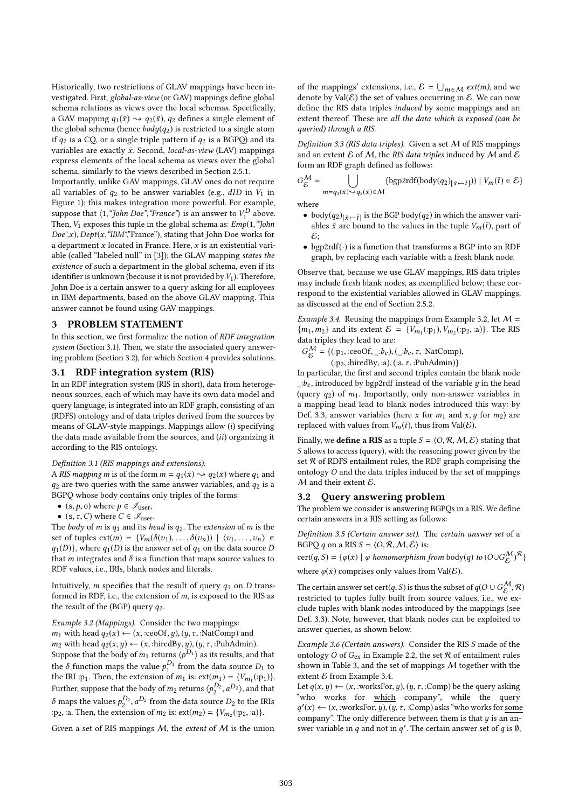Historically, two restrictions of GLAV mappings have been investigated. First, global-as-view (or GAV) mappings define global schema relations as views over the local schemas. Specifically, a GAV mapping  $q_1(\bar{x}) \rightarrow q_2(\bar{x})$ ,  $q_2$  defines a single element of the global schema (hence  $body(q_2)$  is restricted to a single atom if  $q_2$  is a CQ, or a single triple pattern if  $q_2$  is a BGPQ) and its variables are exactly  $\bar{x}$ . Second, local-as-view (LAV) mappings express elements of the local schema as views over the global schema, similarly to the views described in Section 2.5.1.

Importantly, unlike GAV mappings, GLAV ones do not require all variables of  $q_2$  to be answer variables (e.g.,  $dID$  in  $V_1$  in Figure 1); this makes integration more powerful. For example, suppose that  $\langle 1, \text{``John Doe''}, \text{``France''} \rangle$  is an answer to  $V_1^D$  above.<br>Then  $V_2$  exposes this tuple in the global schema as:  $Fmb(1, \text{``John''})$ Then,  $V_1$  exposes this tuple in the global schema as:  $Emp(1, "John")$  $Doc", x), Dept(x, "IBM", 'France"), stating that John Doe works for$ a department  $x$  located in France. Here,  $x$  is an existential variable (called "labeled null" in [3]); the GLAV mapping states the existence of such a department in the global schema, even if its identifier is unknown (because it is not provided by  $V_1$ ). Therefore, John Doe is a certain answer to a query asking for all employees in IBM departments, based on the above GLAV mapping. This answer cannot be found using GAV mappings.

#### 3 PROBLEM STATEMENT

In this section, we first formalize the notion of RDF integration system (Section 3.1). Then, we state the associated query answering problem (Section 3.2), for which Section 4 provides solutions.

#### 3.1 RDF integration system (RIS)

In an RDF integration system (RIS in short), data from heterogeneous sources, each of which may have its own data model and query language, is integrated into an RDF graph, consisting of an (RDFS) ontology and of data triples derived from the sources by means of GLAV-style mappings. Mappings allow (i) specifying the data made available from the sources, and (ii) organizing it according to the RIS ontology.

#### Definition 3.1 (RIS mappings and extensions).

A RIS mapping m is of the form  $m = q_1(\bar{x}) \rightarrow q_2(\bar{x})$  where  $q_1$  and  $q_2$  are two queries with the same answer variables, and  $q_2$  is a BGPQ whose body contains only triples of the forms:

- (s,  $p$ , o) where  $p \in \mathcal{I}_{user}$ ,
- (s,  $\tau$ , C) where  $C \in \mathcal{I}_{user}$ .

The body of m is  $q_1$  and its head is  $q_2$ . The extension of m is the set of tuples  $ext(m) = \{V_m(\delta(v_1), \ldots, \delta(v_n)) \mid \langle v_1, \ldots, v_n \rangle \in$  $q_1(D)$ , where  $q_1(D)$  is the answer set of  $q_1$  on the data source D that  $m$  integrates and  $\delta$  is a function that maps source values to RDF values, i.e., IRIs, blank nodes and literals.

Intuitively, *m* specifies that the result of query  $q_1$  on *D* transformed in RDF, i.e., the extension of  $m$ , is exposed to the RIS as the result of the (BGP) query  $q_2$ .

Example 3.2 (Mappings). Consider the two mappings:  $m_1$  with head  $q_2(x) \leftarrow (x, \text{:ceoOf}, y), (y, \tau, \text{:NatComp})$  and  $m_2$  with head  $q_2(x, y) \leftarrow (x, \text{thiredBy}, y), (y, \tau, \text{:PubAdmin}).$ <br>Suppose that the hody of my raturns  $\langle n_1^D \rangle$  or its results and Suppose that the body of  $m_1$  returns  $\langle p^{D_1} \rangle$  as its results, and that the  $\frac{1}{2}$  function were the summary  $D_1$  from the deta course  $D_2$  to the  $\delta$  function maps the value  $p_1^{D_1}$  from the data source  $D_1$  to the IBI in Then the extension of m, is: ext(m,) =  $\delta V$  (m,)) the IRI :p<sub>1</sub>. Then, the extension of  $m_1$  is:  $ext(m_1) = {V_{m_1}:(p_1)}$ .<br>Further guarages that the hadres for a gatume  $\sqrt{R_2}$ ,  $\sqrt{R_2}$ , and that Further, suppose that the body of  $m_2$  returns  $\langle p_2^{D_2}, a^{D_2} \rangle$ , and that  $\delta$  maps the values  $p_2^{D_2}$ ,  $a^{D_2}$  from the data source  $D_2$  to the IRIs :p<sub>2</sub>, :a. Then, the extension of  $m_2$  is:  $ext(m_2) = \{V_{m_2}(\text{: }p_2, \text{: }a)\}.$ 

Given a set of RIS mappings  $M$ , the extent of  $M$  is the union

of the mappings' extensions, i.e.,  $\mathcal{E} = \bigcup_{m \in \mathcal{M}} ext(m)$ , and we denote by  $Val(\mathcal{E})$  the set of values occurring in  $\mathcal{E}$ . We can now denote by Val $(\mathcal{E})$  the set of values occurring in  $\mathcal{E}$ . We can now define the RIS data triples induced by some mappings and an extent thereof. These are all the data which is exposed (can be queried) through a RIS.

Definition 3.3 (RIS data triples). Given a set  $M$  of RIS mappings and an extent  $\mathcal E$  of  $\mathcal M$ , the RIS data triples induced by  $\mathcal M$  and  $\mathcal E$ form an RDF graph defined as follows:

$$
G_{\mathcal{E}}^{\mathcal{M}} = \bigcup_{m=q_1(\bar{x}) \sim q_2(\bar{x}) \in \mathcal{M}} \{ \text{bgp2rdf}(\text{body}(q_2)_{[\bar{x} \leftarrow \bar{t}]})) \mid V_m(\bar{t}) \in \mathcal{E} \}
$$

where

- body( $q_2$ )[ $\bar{x}$ ← $\bar{t}$ ] is the BGP body( $q_2$ ) in which the answer vari-<br>ables  $\bar{x}$  are bound to the values in the tuple  $V(\bar{t})$  part of ables  $\bar{x}$  are bound to the values in the tuple  $V_m(\bar{t})$ , part of  $\mathcal{E}$
- bgp2rdf $(\cdot)$  is a function that transforms a BGP into an RDF graph, by replacing each variable with a fresh blank node.

Observe that, because we use GLAV mappings, RIS data triples may include fresh blank nodes, as exemplified below; these correspond to the existential variables allowed in GLAV mappings, as discussed at the end of Section 2.5.2.

Example 3.4. Reusing the mappings from Example 3.2, let  $M =$  ${m_1, m_2}$  and its extent  $\mathcal{E} = {V_{m_1}(\cdot p_1), V_{m_2}(\cdot p_2, \cdot a)}$ . The RIS data triples they lead to are:

$$
G_E^{\mathcal{M}} = \{(\text{p}_1, \text{ceoOf}, \_, \text{ib}_c), (\_, \text{ib}_c, \tau, \text{:\text{NatComp})}, (\text{p}_c, \text{bi}_c, \text{b}_c, \text{b}_c, \text{bi}_c, \text{b}_c, \text{bi}_c, \text{bi}_c, \text{bi}_c, \text{bi}_c, \text{bi}_c, \text{bi}_c, \text{bi}_c, \text{bi}_c, \text{bi}_c, \text{bi}_c, \text{bi}_c, \text{bi}_c, \text{bi}_c, \text{bi}_c, \text{bi}_c, \text{bi}_c, \text{bi}_c, \text{bi}_c, \text{bi}_c, \text{bi}_c, \text{bi}_c, \text{bi}_c, \text{bi}_c, \text{bi}_c, \text{bi}_c, \text{bi}_c, \text{bi}_c, \text{bi}_c, \text{bi}_c, \text{bi}_c, \text{bi}_c, \text{bi}_c, \text{bi}_c, \text{bi}_c, \text{bi}_c, \text{bi}_c, \text{bi}_c, \text{bi}_c, \text{bi}_c, \text{bi}_c, \text{bi}_c, \text{bi}_c, \text{bi}_c, \text{bi}_c, \text{bi}_c, \text{bi}_c, \text{bi}_c, \text{bi}_c, \text{bi}_c, \text{bi}_c, \text{bi}_c, \text{bi}_c, \text{bi}_c, \text{bi}_c, \text{bi}_c, \text{bi}_c, \text{bi}_c, \text{bi}_c, \text{bi}_c, \text{bi}_c, \text{bi}_c, \text{bi}_c, \text{bi}_c, \text{bi}_c, \text{bi}_c, \text{bi}_c, \text{bi}_c, \text{bi}_c, \text{bi}_c, \text{bi}_c, \text{bi}_c, \text{bi}_c, \text{bi}_c, \text{bi}_c, \text{bi}_c, \text{bi}_c, \text{bi}_c, \text{bi}_c, \text{bi}_c, \text{bi}_c, \text{bi}_c, \text{bi}_c, \text{bi}_c, \text{bi}_c, \text{bi}_c, \text{bi}_c, \text{bi}_c, \text{bi}_c, \text{bi}_c, \text{bi}_c, \text{bi}_c, \text{bi}_c, \text{bi}_c, \text{bi}_c, \text
$$

 $(:\pmb{p}_2, : \text{hiredBy}, :a), (\text{:}a, \tau, : \text{PubAdmin})\}$ 

In particular, the first and second triples contain the blank node  $\therefore$   $\vec{b}_c$ , introduced by bgp2rdf instead of the variable y in the head (query  $q_2$ ) of  $m_1$ . Importantly, only non-answer variables in a mapping head lead to blank nodes introduced this way: by Def. 3.3, answer variables (here x for  $m_1$  and x, y for  $m_2$ ) are replaced with values from  $V_m(\bar{t})$ , thus from Val $(\mathcal{E})$ .

Finally, we **define a RIS** as a tuple  $S = \langle O, \mathcal{R}, \mathcal{M}, \mathcal{E} \rangle$  stating that S allows to access (query), with the reasoning power given by the set  $R$  of RDFS entailment rules, the RDF graph comprising the ontology O and the data triples induced by the set of mappings  $M$  and their extent  $\mathcal{E}$ .

#### 3.2 Query answering problem

The problem we consider is answering BGPQs in a RIS. We define certain answers in a RIS setting as follows:

Definition 3.5 (Certain answer set). The certain answer set of a BGPQ q on a RIS  $S = \langle O, R, M, E \rangle$  is:

 $cert(q, S) = \{ \varphi(\bar{x}) \mid \varphi \text{ homomorphism from } body(q) \text{ to } (O \cup G_{\mathcal{E}}^{\mathcal{M}})^{\mathcal{R}} \}$ where  $\varphi(\bar{x})$  comprises only values from Val $(\mathcal{E})$ .

The certain answer set cert(q, S) is thus the subset of  $q(O \cup G^{\mathcal{M}}_{\mathcal{E}}, \mathcal{R})$ restricted to tuples fully built from source values, i.e., we exclude tuples with blank nodes introduced by the mappings (see Def. 3.3). Note, however, that blank nodes can be exploited to answer queries, as shown below.

Example 3.6 (Certain answers). Consider the RIS S made of the ontology O of  $G_{ex}$  in Example 2.2, the set  $R$  of entailment rules shown in Table 3, and the set of mappings M together with the extent  $E$  from Example 3.4.

Let  $q(x, y) \leftarrow (x, \text{·worksFor}, y), (y, \tau, \text{·Comp})$  be the query asking "who works for which company", while the query  $q(x)$ ,  $y(x)$ ,  $y(x)$ ,  $y(x)$ ,  $y(x)$ ,  $y(x)$ ,  $y(x)$ ,  $y(x)$ ,  $y(x)$ ,  $y(x)$ ,  $y(x)$ ,  $y(x)$ ,  $y(x)$ ,  $y(x)$ ,  $y(x)$ ,  $y(x)$ ,  $y(x)$ ,  $y(x)$ ,  $y(x)$ ,  $y(x)$ ,  $y(x)$ ,  $y(x)$ ,  $y(x)$ ,  $y(x)$ ,  $y(x)$ ,  $y(x)$ ,  $y(x)$ ,  $y(x)$ ,  $y(x)$ ,  $y(x)$ ,  $y(x)$ ,  $y(x)$  $\mathbf{y}'(x) \leftarrow (x, \text{worksFor}, y), (y, \tau, \text{:Comp})$  asks "who works for <u>some</u><br>company". The only difference between them is that u is an answer variable in q and not in q'. The certain answer set of q is  $\emptyset$ ,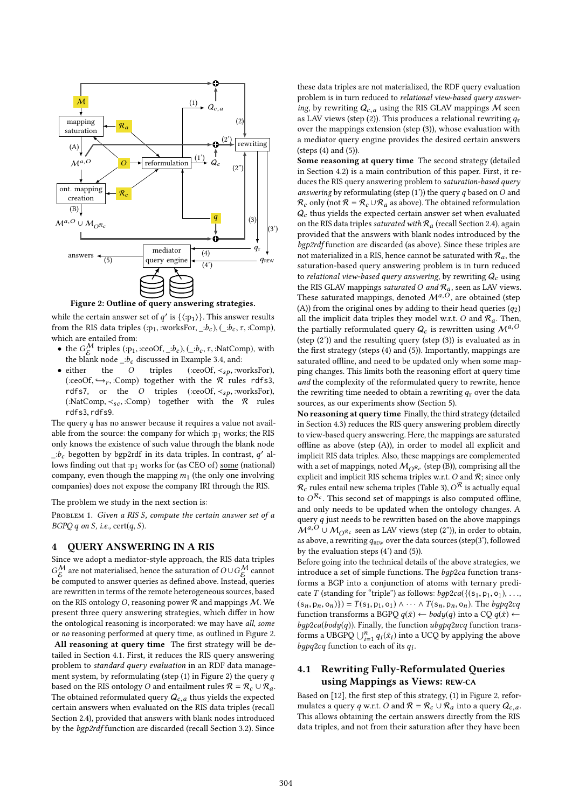

Figure 2: Outline of query answering strategies.

while the certain answer set of q' is  $\{\langle \text{p}_1 \rangle\}$ . This answer results from the PIS data triples  $\langle \text{p}_1 \rangle$  works for  $\langle \text{p}_1 \rangle$  ( $\langle \text{p}_2 \rangle$   $\langle \text{p}_2 \rangle$   $\langle \text{p}_3 \rangle$ ) from the RIS data triples (:p<sub>1</sub>, :worksFor, \_:b<sub>c</sub>), (\_:b<sub>c</sub>,  $\tau$ , :Comp), which are entailed from:

- the  $G_C^{\mathcal{M}}$  triples (:p<sub>1</sub>, :ceoOf, \_:b<sub>c</sub>), (\_:b<sub>c</sub>,  $\tau$ , :NatComp), with the blank node, in discussed in Example 3.4, and: the blank node \_:b<sub>c</sub> discussed in Example 3.4, and:<br>
• either the *O* triples (:ceoOf,  $\lt s_p$ , :worksFor),
- either the O triples (:ceoOf,  $\lt_{sp}$ , :worksFor),  $\left(\text{ceoOf} \leftrightarrow \text{Comn}\right)$  together with the  $\Re$  rules rdfs?  $(\text{ceoOf}, \rightarrow_r, \text{ccomp})$  together with the R rules rdfs3, rdfs7, or the O triples (:ceoOf,  $\prec_{sp}$ , :worksFor), (:NatComp,  $\prec_{sc}$ , :Comp) together with the  $\mathcal{R}$  rules rdfs3, rdfs9.

The query  $q$  has no answer because it requires a value not available from the source: the company for which : $p_1$  works; the RIS only knows the existence of such value through the blank node  $\frac{1}{c}$  begotten by bgp2rdf in its data triples. In contrast, q' al-<br>lows finding out that pulses for (as CEO of) some (national) lows finding out that :p1 works for (as CEO of) some (national) company, even though the mapping  $m_1$  (the only one involving companies) does not expose the company IRI through the RIS.

The problem we study in the next section is:

PROBLEM 1. Given a RIS S, compute the certain answer set of a  $BGPQ q$  on S, i.e., cert $(q, S)$ .

#### 4 QUERY ANSWERING IN A RIS

Since we adopt a mediator-style approach, the RIS data triples  $G_{\text{E}}^{\mathcal{M}}$  are not materialised, hence the saturation of  $O\cup G_{\text{E}}^{\mathcal{M}}$  cannot be computed to answer queries as defined above. Instead, queries are rewritten in terms of the remote heterogeneous sources, based on the RIS ontology O, reasoning power  $R$  and mappings  $M$ . We present three query answering strategies, which differ in how the ontological reasoning is incorporated: we may have all, some or no reasoning performed at query time, as outlined in Figure 2.

All reasoning at query time The first strategy will be detailed in Section 4.1. First, it reduces the RIS query answering problem to standard query evaluation in an RDF data management system, by reformulating (step  $(1)$  in Figure 2) the query q based on the RIS ontology O and entailment rules  $\mathcal{R} = \mathcal{R}_c \cup \mathcal{R}_a$ . The obtained reformulated query  $Q_{c,a}$  thus yields the expected certain answers when evaluated on the RIS data triples (recall Section 2.4), provided that answers with blank nodes introduced by the bgp2rdf function are discarded (recall Section 3.2). Since

these data triples are not materialized, the RDF query evaluation problem is in turn reduced to relational view-based query answering, by rewriting  $Q_{c,a}$  using the RIS GLAV mappings M seen as LAV views (step (2)). This produces a relational rewriting  $q_r$ over the mappings extension (step (3)), whose evaluation with a mediator query engine provides the desired certain answers (steps (4) and (5)).

Some reasoning at query time The second strategy (detailed in Section 4.2) is a main contribution of this paper. First, it reduces the RIS query answering problem to saturation-based query answering by reformulating (step  $(1')$ ) the query q based on O and  $\mathcal{R}_c$  only (not  $\mathcal{R} = \mathcal{R}_c \cup \mathcal{R}_a$  as above). The obtained reformulation  $Q_c$  thus yields the expected certain answer set when evaluated on the RIS data triples saturated with  $\mathcal{R}_a$  (recall Section 2.4), again provided that the answers with blank nodes introduced by the bgp2rdf function are discarded (as above). Since these triples are not materialized in a RIS, hence cannot be saturated with  $\mathcal{R}_a$ , the saturation-based query answering problem is in turn reduced to relational view-based query answering, by rewriting  $Q_c$  using the RIS GLAV mappings *saturated* O and  $\mathcal{R}_a$ , seen as LAV views.<br>These saturated mappings, denoted  $\mathcal{M}^{a,O}$ , are obtained (step (A)) from the original ones by adding to their head queries  $(q_2)$ all the implicit data triples they model w.r.t. O and  $\mathcal{R}_a$ . Then, the partially reformulated query  $Q_c$  is rewritten using  $\mathcal{M}^{a,O}$ (step (2')) and the resulting query (step (3)) is evaluated as in the first strategy (steps (4) and (5)). Importantly, mappings are saturated offline, and need to be updated only when some mapping changes. This limits both the reasoning effort at query time and the complexity of the reformulated query to rewrite, hence the rewriting time needed to obtain a rewriting  $q_r$  over the data sources, as our experiments show (Section 5).

No reasoning at query time Finally, the third strategy (detailed in Section 4.3) reduces the RIS query answering problem directly to view-based query answering. Here, the mappings are saturated offline as above (step (A)), in order to model all explicit and implicit RIS data triples. Also, these mappings are complemented with a set of mappings, noted  $M_{\Omega_{\kappa}}$  (step (B)), comprising all the with a set of mappings, noted  $M_0$  $R_c$  (step (B)), comprising all the explicit and implicit RIS schema triples w.r.t. O and  $R$ ; since only  $R$ , rules entail new schema triples (Table 3),  $\alpha^R$  is actually equal  $\mathcal{R}_{c}$  rules entail new schema triples (Table 3),  $O^{\mathcal{R}}$  is actually equal to  $O^{\mathcal{R}_{c}}$ . This second set of mannings is also computed offline to  $O^{\mathcal{R}_c}$ . This second set of mappings is also computed offline,<br>and only needs to be undated when the ontology changes. A and only needs to be updated when the ontology changes. A query  $q$  just needs to be rewritten based on the above mappings  $\widetilde{\mathcal{M}}^{a,O} \cup \mathcal{M}_{O\mathcal{R}_c}$  seen as LAV views (step (2")), in order to obtain, as above, a rewriting  $q_{\text{REW}}$  over the data sources (step(3'), followed by the evaluation steps (4') and (5)).

Before going into the technical details of the above strategies, we introduce a set of simple functions. The bgp2ca function transforms a BGP into a conjunction of atoms with ternary predicate T (standing for "triple") as follows:  $bgp2ca({(s_1, p_1, o_1), \ldots,$  $(s_n, p_n, o_n)$ }) =  $T(s_1, p_1, o_1) \wedge \cdots \wedge T(s_n, p_n, o_n)$ . The bgpq2cq function transforms a BGPQ  $q(\bar{x}) \leftarrow body(q)$  into a CQ  $q(\bar{x}) \leftarrow$  $bgp2ca(body(q))$ . Finally, the function  $ubgpq2ucq$  function transforms a UBGPQ  $\bigcup_{i=1}^{n} q_i(\bar{x}_i)$  into a UCQ by applying the above<br>hangled function to each of its a. forms a UBGPQ  $\bigcup_{i=1}^n q_i(x_i)$  into bgpq2cq function to each of its  $q_i$ .

# 4.1 Rewriting Fully-Reformulated Queries using Mappings as Views: REW-CA

Based on [12], the first step of this strategy, (1) in Figure 2, reformulates a query q w.r.t. O and  $\mathcal{R} = \mathcal{R}_c \cup \mathcal{R}_a$  into a query  $Q_{c,a}$ . This allows obtaining the certain answers directly from the RIS data triples, and not from their saturation after they have been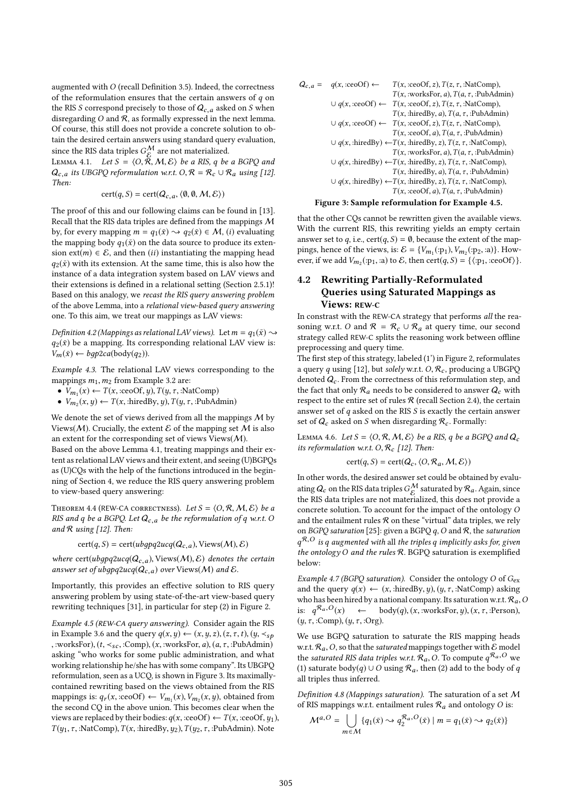augmented with O (recall Definition 3.5). Indeed, the correctness of the reformulation ensures that the certain answers of  $q$  on the RIS S correspond precisely to those of  $Q_{c,a}$  asked on S when disregarding  $O$  and  $R$ , as formally expressed in the next lemma. Of course, this still does not provide a concrete solution to obtain the desired certain answers using standard query evaluation, since the RIS data triples  $G_{\mathcal{E}}^{\mathcal{M}}$  are not materialized.<br>LEMMA 4.1 Let  $S = \langle O_{\mathcal{E}}^{\mathcal{E}} M, S \rangle$  he a PIS a he

LEMMA 4.1. Let  $S = \langle O, \overline{R}, M, E \rangle$  be a RIS, q be a BGPQ and  $O$  its UBGPO reformulation wr t  $O$   $\mathcal{R} = \mathcal{R} + \mathcal{R}$  using [12]  $Q_{c,a}$  its UBGPQ reformulation w.r.t.  $O, \mathcal{R} = \mathcal{R}_{c} \cup \mathcal{R}_{a}$  using [12]. Then:

$$
cert(q, S) = cert(Q_{c,a}, \langle \emptyset, \emptyset, \mathcal{M}, \mathcal{E} \rangle)
$$

The proof of this and our following claims can be found in [13]. Recall that the RIS data triples are defined from the mappings M by, for every mapping  $m = q_1(\bar{x}) \rightarrow q_2(\bar{x}) \in \mathcal{M}$ , (i) evaluating the mapping body  $q_1(\bar{x})$  on the data source to produce its extension  $ext(m) \in \mathcal{E}$ , and then *(ii)* instantiating the mapping head  $q_2(\bar{x})$  with its extension. At the same time, this is also how the instance of a data integration system based on LAV views and their extensions is defined in a relational setting (Section 2.5.1)! Based on this analogy, we recast the RIS query answering problem of the above Lemma, into a relational view-based query answering one. To this aim, we treat our mappings as LAV views:

Definition 4.2 (Mappings as relational LAV views). Let  $m = q_1(\bar{x}) \rightarrow$  $q_2(\bar{x})$  be a mapping. Its corresponding relational LAV view is:  $V_m(\bar{x}) \leftarrow bqp2ca(body(q_2)).$ 

Example 4.3. The relational LAV views corresponding to the mappings  $m_1, m_2$  from Example 3.2 are:

- $V_{m_1}(x) \leftarrow T(x, \text{ceoOf}, y)$ ,  $T(y, \tau, \text{thatComp})$
- $V_{m_2}(x, y) \leftarrow T(x, \text{:hiredBy}, y), T(y, \tau, \text{:} \text{PubAdmin})$

We denote the set of views derived from all the mappings  $M$  by Views( $M$ ). Crucially, the extent  $\mathcal E$  of the mapping set  $M$  is also an extent for the corresponding set of views  $V$ iews $(M)$ .

Based on the above Lemma 4.1, treating mappings and their extent as relational LAV views and their extent, and seeing (U)BGPQs as (U)CQs with the help of the functions introduced in the beginning of Section 4, we reduce the RIS query answering problem to view-based query answering:

THEOREM 4.4 (REW-CA CORRECTNESS). Let  $S = \langle O, R, M, E \rangle$  be a RIS and q be a BGPQ. Let  $Q_{c,a}$  be the reformulation of q w.r.t. O and  $R$  using [12]. Then:

$$
cert(q, S) = cert(ubgpq2ucq(Q_{c,a}), \text{Views}(\mathcal{M}), \mathcal{E})
$$

where cert(ubgpq2ucq( $Q_{c,a}$ ), Views( $M$ ),  $\mathcal{E}$ ) denotes the certain answer set of ubgpq2ucq( $Q_{c,a}$ ) over Views(M) and  $\mathcal{E}$ .

Importantly, this provides an effective solution to RIS query answering problem by using state-of-the-art view-based query rewriting techniques [31], in particular for step (2) in Figure 2.

Example 4.5 (REW-CA query answering). Consider again the RIS in Example 3.6 and the query  $q(x, y) \leftarrow (x, y, z), (z, \tau, t), (y, \prec_{sp}$ , :worksFor),  $(t, \prec_{sc}, :Comp)$ ,  $(x, :worksFor, a)$ ,  $(a, \tau, :PubAdmin)$ asking "who works for some public administration, and what working relationship he/she has with some company". Its UBGPQ reformulation, seen as a UCQ, is shown in Figure 3. Its maximallycontained rewriting based on the views obtained from the RIS mappings is:  $q_r(x, \text{ceoOf}) \leftarrow V_{m_1}(x), V_{m_2}(x, y)$ , obtained from<br>the second CO in the above union. This becomes clear when the the second CQ in the above union. This becomes clear when the views are replaced by their bodies:  $q(x, c\neq 0) \leftarrow T(x, c\neq 0)$ ,  $y_1$ ),  $T(y_1, \tau, : \text{NatComp})$ ,  $T(x, : \text{hiredBy}, y_2)$ ,  $T(y_2, \tau, : \text{PubAdmin})$ . Note

$$
Q_{c,a} = q(x, \text{ceoOf}) \leftarrow T(x, \text{ceoOf}, z), T(z, \tau, \text{·NatComp}),
$$
  
\n
$$
T(x, \text{·worksFor}, a), T(a, \tau, \text{·PubAdmin})
$$
  
\n
$$
\cup q(x, \text{ceoOf}) \leftarrow T(x, \text{ceoOf}, z), T(z, \tau, \text{·NatComp}),
$$
  
\n
$$
T(x, \text{·hiredBy}, a), T(a, \tau, \text{·PubAdmin})
$$
  
\n
$$
\cup q(x, \text{ceoOf}) \leftarrow T(x, \text{ceoOf}, z), T(z, \tau, \text{·NatComp}),
$$
  
\n
$$
T(x, \text{ceoOf}, a), T(a, \tau, \text{·PubAdmin})
$$
  
\n
$$
\cup q(x, \text{·hiredBy}) \leftarrow T(x, \text{·hiredBy}, z), T(z, \tau, \text{·NatComp}),
$$
  
\n
$$
T(x, \text{·worksFor}, a), T(a, \tau, \text{·PubAdmin})
$$
  
\n
$$
\cup q(x, \text{·hiredBy}) \leftarrow T(x, \text{·hiredBy}, z), T(z, \tau, \text{·NatComp}),
$$
  
\n
$$
T(x, \text{·kiredBy}, a), T(a, \tau, \text{·PubAdmin})
$$
  
\n
$$
\cup q(x, \text{·hiredBy}) \leftarrow T(x, \text{·hiredBy}, z), T(z, \tau, \text{·NatComp}),
$$
  
\n
$$
T(x, \text{·ceoOf}, a), T(a, \tau, \text{·PubAdmin})
$$
  
\n**Figure 3: Sample reformulation for Example 4.5.**

that the other CQs cannot be rewritten given the available views. With the current RIS, this rewriting yields an empty certain answer set to q, i.e.,  $cert(q, S) = \emptyset$ , because the extent of the mappings, hence of the views, is:  $\mathcal{E} = \{V_{m_1}(\text{p}_1), V_{m_2}(\text{p}_2, \text{a})\}\$ . How-<br>ever if we add  $V_{m_1}(\text{p}_1, \text{p}_2)$  to  $\mathcal{E}_m$  then cert(a, S) =  $\{(p_1, \text{p}_2, \text{p}_3)$ ever, if we add  $V_{m_2}(\cdot p_1, \cdot a)$  to  $\mathcal{E}$ , then  $\text{cert}(q, S) = \{\langle \cdot p_1, \cdot \text{ceoOf} \rangle\}$ .

# 4.2 Rewriting Partially-Reformulated Queries using Saturated Mappings as Views: REW-C

In constrast with the REW-CA strategy that performs all the reasoning w.r.t. O and  $\mathcal{R} = \mathcal{R}_c \cup \mathcal{R}_a$  at query time, our second strategy called REW-C splits the reasoning work between offline preprocessing and query time.

The first step of this strategy, labeled (1') in Figure 2, reformulates a query q using [12], but solely w.r.t.  $O, \mathcal{R}_c$ , producing a UBGPQ denoted  $Q_c$ . From the correctness of this reformulation step, and the fact that only  $\mathcal{R}_a$  needs to be considered to answer  $Q_c$  with respect to the entire set of rules  $R$  (recall Section 2.4), the certain answer set of  $q$  asked on the RIS  $S$  is exactly the certain answer set of  $Q_c$  asked on S when disregarding  $\mathcal{R}_c$ . Formally:

LEMMA 4.6. Let  $S = \langle O, R, M, E \rangle$  be a RIS, q be a BGPQ and  $Q_c$ its reformulation w.r.t.  $O, \mathcal{R}_c$  [12]. Then:

$$
cert(q, S) = cert(Q_c, \langle O, R_a, M, E \rangle)
$$

In other words, the desired answer set could be obtained by evaluating  $Q_c$  on the RIS data triples  $G_C^M$  saturated by  $\mathcal{R}_a$ . Again, since<br>the RIS data triples are not materialized, this does not provide a the RIS data triples are not materialized, this does not provide a concrete solution. To account for the impact of the ontology O and the entailment rules  $R$  on these "virtual" data triples, we rely on BGPQ saturation [25]: given a BGPQ  $q$ ,  $O$  and  $R$ , the saturation the ontology O and the rules R. BGPQ saturation is exemplified<br>helow:  $q^{\mathcal{R},O}$  is q augmented with all the triples q implicitly asks for, given below:

Example 4.7 (BGPQ saturation). Consider the ontology O of  $G_{ex}$ and the query  $q(x) \leftarrow (x, \text{:hiredBy}, y), (y, \tau, \text{:NatComp})$  asking who has been hired by a national company. Its saturation w.r.t.  $\mathcal{R}_a$ , O is:  $q^{\mathcal{R}_a, O}(x)$  $\leftarrow \quad \text{body}(q), (x, : \text{worksFor}, y), (x, \tau, : \text{Person}),$  $(y, \tau, :Comp), (y, \tau, :Org).$ 

We use BGPQ saturation to saturate the RIS mapping heads w.r.t.  $\mathcal{R}_a$ , O, so that the *saturated* mappings together with  $\mathcal E$  model the saturated RIS data triples w.r.t.  $\mathcal{R}_a$ , O. To compute  $q^{\mathcal{R}_a, O}$  we<br>(1) saturate body(a)  $\Box$  O using  $\mathcal{R}_a$  then (2) add to the body of a (1) saturate body(q) ∪ O using  $\mathcal{R}_a$ , then (2) add to the body of q all triples thus inferred.

Definition 4.8 (Mappings saturation). The saturation of a set  $M$ of RIS mappings w.r.t. entailment rules  $\mathcal{R}_a$  and ontology O is:

$$
\mathcal{M}^{a,O} = \bigcup_{m \in \mathcal{M}} \{q_1(\bar{x}) \leadsto q_2^{\mathcal{R}_a,O}(\bar{x}) \mid m = q_1(\bar{x}) \leadsto q_2(\bar{x})\}
$$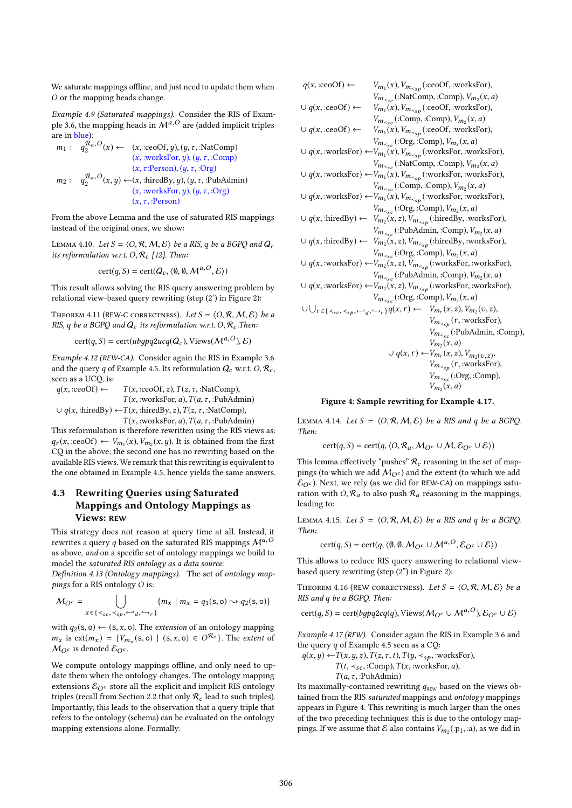We saturate mappings offline, and just need to update them when O or the mapping heads change.

Example 4.9 (Saturated mappings). Consider the RIS of Example 3.6, the mapping heads in  $\mathcal{M}^{a,O}$  are (added implicit triples <sub>-</sub><br>are in <mark>blue</mark>):

$$
m_1: \quad q_2^{\mathcal{R}_a,O}(x) \leftarrow (x, \text{ceoOf}, y), (y, \tau, \text{:NatComp})
$$
  
\n
$$
(x, \text{:worksFor}, y), (y, \tau, \text{:Comp})
$$
  
\n
$$
(x, \tau \text{:Person}), (y, \tau, \text{:Org})
$$
  
\n
$$
m_2: \quad q_2^{\mathcal{R}_a,O}(x, y) \leftarrow (x, \text{:hiredBy}, y), (y, \tau, \text{:PubAdmin})
$$
  
\n
$$
(x, \text{:worksFor}, y), (y, \tau, \text{:Org})
$$
  
\n
$$
(x, \tau, \text{:Person})
$$

From the above Lemma and the use of saturated RIS mappings instead of the original ones, we show:

LEMMA 4.10. Let  $S = \langle O, R, M, E \rangle$  be a RIS, q be a BGPQ and  $Q_c$ its reformulation w.r.t.  $O, \mathcal{R}_c$  [12]. Then:

$$
cert(q, S) = cert(Q_c, \langle \emptyset, \emptyset, \mathcal{M}^{a, O}, \mathcal{E} \rangle)
$$

This result allows solving the RIS query answering problem by relational view-based query rewriting (step (2') in Figure 2):

THEOREM 4.11 (REW-C CORRECTNESS). Let  $S = \langle O, R, M, E \rangle$  be a RIS, q be a BGPQ and  $Q_c$  its reformulation w.r.t. O,  $\mathcal{R}_c$ . Then:

 $cert(q, S) = cert(ubgpq2ucq(Q_c), \text{Views}(M^{a,O}), \mathcal{E})$ 

Example 4.12 (REW-CA). Consider again the RIS in Example 3.6 and the query q of Example 4.5. Its reformulation  $Q_c$  w.r.t.  $O, \mathcal{R}_c$ , seen as a UCQ, is:

 $q(x, \text{ceoOf}) \leftarrow T(x, \text{ceoOf}, z), T(z, \tau, \text{ch} \text{Comp}),$  $T(x, :worksFor, a), T(a, \tau, :PubAdmin)$  $\cup$  q(x, :hiredBy)  $\leftarrow T(x, : \text{hiredBy}, z), T(z, \tau, : \text{NatComp}),$  $T(x, :worksFor, a), T(a, \tau, :PubAdmin)$ 

This reformulation is therefore rewritten using the RIS views as:  $q_r(x, c\neq 0) \leftarrow V_{m_1}(x), V_{m_2}(x, y)$ . It is obtained from the first CO in the above the second one has no rewriting based on the CQ in the above; the second one has no rewriting based on the available RIS views. We remark that this rewriting is equivalent to the one obtained in Example 4.5, hence yields the same answers.

# 4.3 Rewriting Queries using Saturated Mappings and Ontology Mappings as Views: REW

This strategy does not reason at query time at all. Instead, it rewrites a query q based on the saturated RIS mappings  $\mathcal{M}^{a,O}$ as above, and on a specific set of ontology mappings we build to model the saturated RIS ontology as a data source:

Definition 4.13 (Ontology mappings). The set of ontology mappings for a RIS ontology O is:

$$
M_{Q^c} = \bigcup_{x \in \{ \langle s_c, \langle s_p, \hookrightarrow_d, \hookrightarrow_r \} } \{ m_x \mid m_x = q_1(s, 0) \rightsquigarrow q_2(s, 0) \}
$$

with  $q_2(s, o) \leftarrow (s, x, o)$ . The *extension* of an ontology mapping  $m_x$  is  $ext(m_x) = \{V_{m_x}(s, o) \mid (s, x, o) \in O^{\mathcal{R}_c}\}\.$  The extent of  $M_{\odot}$  is denoted  $\mathcal{E}_{\odot}$  $M_{\Omega^c}$  is denoted  $\mathcal{E}_{\Omega^c}$ .

We compute ontology mappings offline, and only need to update them when the ontology changes. The ontology mapping extensions  $\mathcal{E}_{O^c}$  store all the explicit and implicit RIS ontology triples (recall from Section 2.2 that only  $\mathcal{R}_c$  lead to such triples). Importantly, this leads to the observation that a query triple that refers to the ontology (schema) can be evaluated on the ontology mapping extensions alone. Formally:

| $q(x, :ceoOf) \leftarrow$        | $V_{m_1}(x)$ , $V_{m_{\leq sp}}$ (:ceoOf, :worksFor),                                                                                           |
|----------------------------------|-------------------------------------------------------------------------------------------------------------------------------------------------|
|                                  | $V_{m_{\leq s}}$ (:NatComp, :Comp), $V_{m_2}(x, a)$                                                                                             |
| $\cup$ q(x, :ceoOf) $\leftarrow$ | $V_{m_1}(x)$ , $V_{m_{\leq sp}}$ (:ceoOf, :worksFor),                                                                                           |
|                                  | $V_{m_{\leq s}c}$ (:Comp, :Comp), $V_{m_2}(x, a)$                                                                                               |
| $\cup$ q(x, :ceoOf) $\leftarrow$ | $V_{m_1}(x)$ , $V_{m_{\leq sp}}$ (:ceoOf, :worksFor),                                                                                           |
|                                  | $V_{m_{\leq s}}$ (:Org, :Comp), $V_{m_2}(x, a)$                                                                                                 |
|                                  | $\cup$ q(x, :worksFor) $\leftarrow V_{m_1}(x)$ , $V_{m_{\leq sp}}$ (:worksFor, :worksFor),                                                      |
|                                  | $V_{m_{\leq s}c}$ (:NatComp, :Comp), $V_{m_2}(x, a)$                                                                                            |
|                                  | $\cup$ q(x, :worksFor) $\leftarrow V_{m_1}(x)$ , $V_{m_{\leq sp}}$ (:worksFor, :worksFor),                                                      |
|                                  | $V_{m_{\leq s}}$ (:Comp, :Comp), $V_{m_2}(x, a)$                                                                                                |
|                                  | $\cup$ q(x, :worksFor) $\leftarrow V_{m_1}(x)$ , $V_{m_{\leq sp}}$ (:worksFor, :worksFor),                                                      |
|                                  | $V_{m_{\leq s}}$ (:Org, :Comp), $V_{m_2}(x, a)$                                                                                                 |
|                                  | $\cup$ q(x, :hiredBy) $\leftarrow$ $V_{m_2}(x, z), V_{m_{\leq s p}}$ (:hiredBy, :worksFor),                                                     |
|                                  | $V_{m_{\leq s}}$ (:PubAdmin, :Comp), $V_{m_2}(x, a)$                                                                                            |
|                                  | $\cup$ q(x, :hiredBy) $\leftarrow$ $V_{m_2}(x, z), V_{m_{\leq s p}}$ (:hiredBy, :worksFor),                                                     |
|                                  | $V_{m_{\leq s}}$ (:Org, :Comp), $V_{m_2}(x, a)$                                                                                                 |
|                                  | $\cup$ q(x, :worksFor) $\leftarrow V_{m_2}(x, z)$ , $V_{m_{\leq s p}}$ (:worksFor, :worksFor),                                                  |
|                                  | $V_{m_{\leq s}c}$ (:PubAdmin, :Comp), $V_{m_2}(x, a)$                                                                                           |
|                                  | $\cup$ q(x, :worksFor) $\leftarrow V_{m_2}(x, z)$ , $V_{m_{\leq sp}}$ (:worksFor, :worksFor),                                                   |
|                                  | $V_{m_{\leq s}}$ (:Org, :Comp), $V_{m_2}(x, a)$                                                                                                 |
|                                  | $\cup \bigcup_{r \in \{\langle s_c, \langle s_p, \hookrightarrow_q, \hookrightarrow_r \rangle\}} q(x,r) \leftarrow V_{m_r}(x,z), V_{m_2}(v,z),$ |
|                                  | $V_{m_{\leq sp}}(r,$ :worksFor),                                                                                                                |
|                                  | $V_{m_{\leq s}}$ (:PubAdmin, :Comp),                                                                                                            |
|                                  | $V_{m_2}(x, a)$                                                                                                                                 |
|                                  | $\cup$ q(x, r) $\leftarrow V_{m_r}(x, z), V_{m_2(v, z)},$                                                                                       |
|                                  | $V_{m_{\leq sp}}(r,$ :worksFor),                                                                                                                |
|                                  | $V_{m_{\leq s}c}$ (:Org, :Comp),                                                                                                                |
|                                  | $V_{m_2}(x,a)$                                                                                                                                  |
|                                  |                                                                                                                                                 |

#### Figure 4: Sample rewriting for Example 4.17.

LEMMA 4.14. Let  $S = \langle O, R, M, E \rangle$  be a RIS and q be a BGPQ. Then:

 $cert(q, S) = cert(q, \langle O, R_a, M_{O^c} \cup M, \mathcal{E}_{O^c} \cup \mathcal{E} \rangle)$ 

This lemma effectively "pushes"  $\mathcal{R}_c$  reasoning in the set of mappings (to which we add  $M_{Q}$ c) and the extent (to which we add  $\mathcal{E}_{Q^c}$ ). Next, we rely (as we did for REW-CA) on mappings saturation with  $O, R_a$  to also push  $R_a$  reasoning in the mappings, leading to:

LEMMA 4.15. Let  $S = \langle O, R, M, E \rangle$  be a RIS and q be a BGPQ. Then:

$$
cert(q, S) = cert(q, \langle \emptyset, \emptyset, \mathcal{M}_{O^c} \cup \mathcal{M}^{a, O}, \mathcal{E}_{O^c} \cup \mathcal{E} \rangle)
$$

This allows to reduce RIS query answering to relational viewbased query rewriting (step (2") in Figure 2):

THEOREM 4.16 (REW CORRECTNESS). Let  $S = \langle O, R, M, E \rangle$  be a RIS and q be a BGPQ. Then:

 $cert(q, S) = cert(bgpq2cq(q), Views(M_Oc \cup M^{a,O}), \mathcal{E}_{Oc} \cup \mathcal{E})$ 

Example 4.17 (REW). Consider again the RIS in Example 3.6 and the query  $q$  of Example 4.5 seen as a CQ:

 $q(x, y) \leftarrow T(x, y, z), T(z, \tau, t), T(y, \prec_{sp}, : \text{worksFor}),$  $T(t, \langle s_c, :Comp), T(x, :worksFor, a),$ 

 $T(a, \tau, :$ PubAdmin)

Its maximally-contained rewriting  $q_{\text{new}}$  based on the views obtained from the RIS saturated mappings and ontology mappings appears in Figure 4. This rewriting is much larger than the ones of the two preceding techniques: this is due to the ontology mappings. If we assume that  $\mathcal E$  also contains  $V_{m_2}(\cdot p_1, \cdot a)$ , as we did in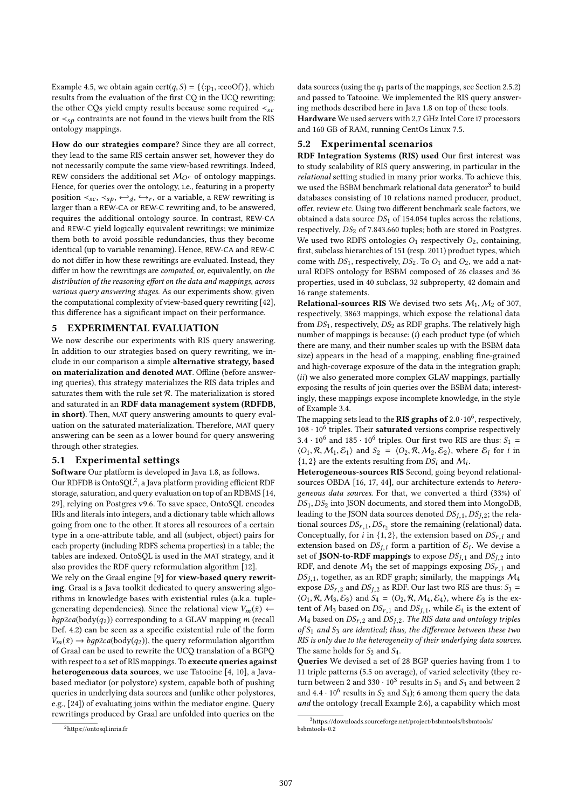Example 4.5, we obtain again cert $(q, S) = \{ \langle :p_1, :ceoOf \rangle \}$ , which results from the evaluation of the first CQ in the UCQ rewriting; the other CQs yield empty results because some required  $\prec_{sc}$ or  $\prec_{s\rho}$  contraints are not found in the views built from the RIS ontology mappings.

How do our strategies compare? Since they are all correct, they lead to the same RIS certain answer set, however they do not necessarily compute the same view-based rewritings. Indeed, REW considers the additional set  $M_{O<sup>c</sup>}$  of ontology mappings. Hence, for queries over the ontology, i.e., featuring in a property position  $\lt s_{sc}$ ,  $\lt s_p$ ,  $\leftrightarrow_d$ ,  $\leftrightarrow_r$ , or a variable, a REW rewriting is<br>larger than a PEW.CA or PEW.C rewriting and to be answered larger than a REW-CA or REW-C rewriting and, to be answered, requires the additional ontology source. In contrast, REW-CA and REW-C yield logically equivalent rewritings; we minimize them both to avoid possible redundancies, thus they become identical (up to variable renaming). Hence, REW-CA and REW-C do not differ in how these rewritings are evaluated. Instead, they differ in how the rewritings are computed, or, equivalently, on the distribution of the reasoning effort on the data and mappings, across various query answering stages. As our experiments show, given the computational complexity of view-based query rewriting [42], this difference has a significant impact on their performance.

#### 5 EXPERIMENTAL EVALUATION

We now describe our experiments with RIS query answering. In addition to our strategies based on query rewriting, we include in our comparison a simple alternative strategy, based on materialization and denoted MAT. Offline (before answering queries), this strategy materializes the RIS data triples and saturates them with the rule set  ${\mathcal R}.$  The materialization is stored and saturated in an RDF data management system (RDFDB, in short). Then, MAT query answering amounts to query evaluation on the saturated materialization. Therefore, MAT query answering can be seen as a lower bound for query answering through other strategies.

#### 5.1 Experimental settings

Software Our platform is developed in Java 1.8, as follows.

Our RDFDB is OntoSQL<sup>2</sup> , a Java platform providing efficient RDF storage, saturation, and query evaluation on top of an RDBMS [14, 29], relying on Postgres v9.6. To save space, OntoSQL encodes IRIs and literals into integers, and a dictionary table which allows going from one to the other. It stores all resources of a certain type in a one-attribute table, and all (subject, object) pairs for each property (including RDFS schema properties) in a table; the tables are indexed. OntoSQL is used in the MAT strategy, and it also provides the RDF query reformulation algorithm [12].

We rely on the Graal engine [9] for view-based query rewriting. Graal is a Java toolkit dedicated to query answering algorithms in knowledge bases with existential rules (a.k.a. tuplegenerating dependencies). Since the relational view  $V_m(\bar{x}) \leftarrow$  $bqp2ca(body(q_2))$  corresponding to a GLAV mapping m (recall Def. 4.2) can be seen as a specific existential rule of the form  $V_m(\bar{x}) \rightarrow bqp2ca(\text{body}(q_2))$ , the query reformulation algorithm of Graal can be used to rewrite the UCQ translation of a BGPQ with respect to a set of RIS mappings. To execute queries against heterogeneous data sources, we use Tatooine [4, 10], a Javabased mediator (or polystore) system, capable both of pushing queries in underlying data sources and (unlike other polystores, e.g., [24]) of evaluating joins within the mediator engine. Query rewritings produced by Graal are unfolded into queries on the

data sources (using the  $q_1$  parts of the mappings, see Section 2.5.2) and passed to Tatooine. We implemented the RIS query answering methods described here in Java 1.8 on top of these tools. Hardware We used servers with 2,7 GHz Intel Core i7 processors and 160 GB of RAM, running CentOs Linux 7.5.

# 5.2 Experimental scenarios

RDF Integration Systems (RIS) used Our first interest was to study scalability of RIS query answering, in particular in the relational setting studied in many prior works. To achieve this, we used the BSBM benchmark relational data generator<sup>3</sup> to build databases consisting of 10 relations named producer, product, offer, review etc. Using two different benchmark scale factors, we obtained a data source  $DS_1$  of 154.054 tuples across the relations, respectively,  $DS_2$  of 7.843.660 tuples; both are stored in Postgres. We used two RDFS ontologies  $O_1$  respectively  $O_2$ , containing, first, subclass hierarchies of 151 (resp. 2011) product types, which come with  $DS_1$ , respectively,  $DS_2$ . To  $O_1$  and  $O_2$ , we add a natural RDFS ontology for BSBM composed of 26 classes and 36 properties, used in 40 subclass, 32 subproperty, 42 domain and 16 range statements.

**Relational-sources RIS** We devised two sets  $M_1, M_2$  of 307, respectively, 3863 mappings, which expose the relational data from  $DS_1$ , respectively,  $DS_2$  as RDF graphs. The relatively high number of mappings is because: (i) each product type (of which there are many, and their number scales up with the BSBM data size) appears in the head of a mapping, enabling fine-grained and high-coverage exposure of the data in the integration graph; (ii) we also generated more complex GLAV mappings, partially exposing the results of join queries over the BSBM data; interestingly, these mappings expose incomplete knowledge, in the style of Example 3.4.

The mapping sets lead to the **RIS graphs of**  $2.0 \cdot 10^6$ , respectively,  $108 \cdot 10^6$  triples. Their saturated versions comprise respectively. 108 · 10<sup>6</sup> triples. Their **saturated** versions comprise respectively 3.4 · 10<sup>6</sup> and 185 · 10<sup>6</sup> triples. Our first two RIS are thus:  $S_1 =$ <br>(O. **R.** M. E.) and  $S_2 =$  (O. **R.** M. E.) where E. for i.in  $\langle O_1, \mathcal{R}, \mathcal{M}_1, \mathcal{E}_1 \rangle$  and  $S_2 = \langle O_2, \mathcal{R}, \mathcal{M}_2, \mathcal{E}_2 \rangle$ , where  $\mathcal{E}_i$  for *i* in  $\{1, 2\}$  are the extents resulting from  $DS_i$  and  $M_i$ .<br>**Heterogeneous-sources BIS** Second, going have

Heterogeneous-sources RIS Second, going beyond relationalsources OBDA [16, 17, 44], our architecture extends to heterogeneous data sources. For that, we converted a third (33%) of  $DS<sub>1</sub>, DS<sub>2</sub>$  into JSON documents, and stored them into MongoDB, leading to the JSON data sources denoted  $DS_{i,1},DS_{i,2}$ ; the relational sources  $DS_{r,1}$ ,  $DS_{r_2}$  store the remaining (relational) data.<br>Concentually for i.in  $\{1, 2\}$ , the extension based on  $DS \rightarrow$  and Conceptually, for *i* in  $\{1, 2\}$ , the extension based on  $DS_{r,i}$  and extension based on  $DS_{j,i}$  form a partition of  $\mathcal{E}_i$ . We devise a<br>set of **ISON-to-RDE** mannings to expose  $DS_{i,i}$  and  $DS_{i,i}$  into set of JSON-to-RDF mappings to expose  $DS_{i,1}$  and  $DS_{i,2}$  into RDF, and denote  $M_3$  the set of mappings exposing  $DS_{r,1}$  and  $DS_{j,1}$ , together, as an RDF graph; similarly, the mappings  $M_4$ expose  $DS_{r,2}$  and  $DS_{j,2}$  as RDF. Our last two RIS are thus:  $S_3$  =  $\langle O_1, \mathcal{R}, \mathcal{M}_3, \mathcal{E}_3 \rangle$  and  $S_4 = \langle O_2, \mathcal{R}, \mathcal{M}_4, \mathcal{E}_4 \rangle$ , where  $\mathcal{E}_3$  is the extent of  $M_3$  based on  $DS_{r,1}$  and  $DS_{j,1}$ , while  $\mathcal{E}_4$  is the extent of  $M_4$  based on  $DS_{r,2}$  and  $DS_{j,2}$ . The RIS data and ontology triples of  $S_1$  and  $S_3$  are identical; thus, the difference between these two RIS is only due to the heterogeneity of their underlying data sources. The same holds for  $S_2$  and  $S_4$ .

Queries We devised a set of 28 BGP queries having from 1 to 11 triple patterns (5.5 on average), of varied selectivity (they return between 2 and 330  $\cdot$  10<sup>3</sup> results in  $S_1$  and  $S_3$  and between 2<br>and 4.4  $\cdot$  10<sup>6</sup> results in S<sub>2</sub> and S<sub>2</sub>); 6 among them guery the data and  $4.4 \cdot 10^6$  results in  $S_2$  and  $S_4$ ); 6 among them query the data<br>and the ontology (recall Example 2.6), a capability which most and the ontology (recall Example 2.6), a capability which most

<sup>2</sup>https://ontosql.inria.fr

<sup>3</sup>https://downloads.sourceforge.net/project/bsbmtools/bsbmtools/ bsbmtools-0.2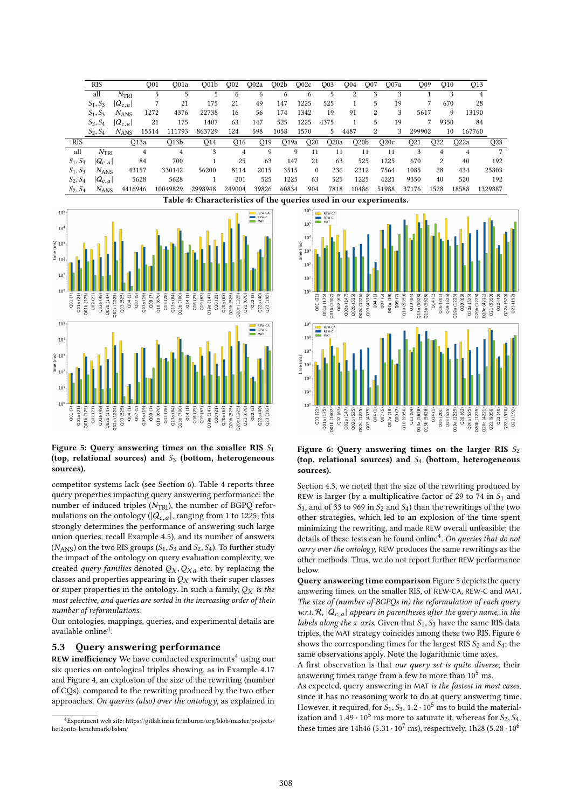|            | <b>RIS</b>                                                       |               | O01              | O01a             | O <sub>01b</sub> | O <sub>0</sub> 2 | O <sub>0</sub> 2a | Q02b             | Q02c            | O <sub>0</sub> 3  | O04              | O <sub>07</sub> | O07a  |                 | O <sub>09</sub> | O <sub>10</sub>   | Q13    |         |
|------------|------------------------------------------------------------------|---------------|------------------|------------------|------------------|------------------|-------------------|------------------|-----------------|-------------------|------------------|-----------------|-------|-----------------|-----------------|-------------------|--------|---------|
|            | all                                                              | $N_{\rm TRI}$ | 5                |                  | 5                | 6                | 6                 | 6                | 6.              | 5                 | 2                | 3               | 3     |                 |                 | 3                 | 4      |         |
|            | $S_1, S_3$                                                       | $ Q_{c,a} $   |                  | 21               | 175              | 21               | 49                | 147              | 1225            | 525               |                  | 5               | 19    |                 |                 | 670               | 28     |         |
|            | $S_1, S_3$                                                       | $N_{\rm ANS}$ | 1272             | 4376             | 22738            | 16               | 56                | 174              | 1342            | 19                | 91               | 2               | 3     | 5617            |                 | 9                 | 13190  |         |
|            | $S_2, S_4$                                                       | $ Q_{c,a} $   | 21               | 175              | 1407             | 63               | 147               | 525              | 1225            | 4375              |                  | 5               | 19    |                 |                 | 9350              | 84     |         |
|            | $S_2, S_4$                                                       | $N_{ANS}$     | 15514            | 111793           | 863729           | 124              | 598               | 1058             | 1570            | 5                 | 4487             | 2               | 3     | 299902          |                 | 10                | 167760 |         |
| <b>RIS</b> |                                                                  |               | O <sub>13a</sub> | O13 <sub>b</sub> | Q14              | O <sub>16</sub>  | O <sub>19</sub>   | O <sub>19a</sub> | Q <sub>20</sub> | O <sub>20</sub> a | O20 <sub>b</sub> |                 | O20c  | O <sub>21</sub> | O22             | O <sub>22</sub> a |        | Q23     |
| all        | N <sub>TRI</sub>                                                 |               | 4                | 4                | 3                | 4                |                   | 9                | 9<br>11         | 11                |                  | 11              | 11    | 3               | 4               |                   | 4      |         |
| $S_1, S_3$ | $ Q_{c,a} $                                                      |               | 84               | 700              |                  | 25               | 63                | 147              | 21              | 63                | 525              |                 | 1225  | 670             | 2               |                   | 40     | 192     |
| $S_1, S_3$ | $N_{\rm ANS}$                                                    | 43157         |                  | 330142           | 56200            | 8114             | 2015              | 3515             | $\theta$        | 236               | 2312             |                 | 7564  | 1085            | 28              |                   | 434    | 25803   |
| $S_2, S_4$ | $ Q_{c,a} $                                                      |               | 5628             | 5628             |                  | 201              | 525               | 1225             | 63              | 525               | 1225             |                 | 4221  | 9350            | 40              |                   | 520    | 192     |
| $S_2, S_4$ | $N_{ANS}$                                                        | 4416946       |                  | 10049829         | 2998948          | 249004           | 39826             | 60834            | 904             | 7818              | 10486            |                 | 51988 | 37176           | 1528            | 18588             |        | 1329887 |
|            | Table 4: Characteristics of the queries used in our experiments. |               |                  |                  |                  |                  |                   |                  |                 |                   |                  |                 |       |                 |                 |                   |        |         |



## Figure 5: Query answering times on the smaller RIS  $S_1$ (top, relational sources) and  $S_3$  (bottom, heterogeneous sources).

competitor systems lack (see Section 6). Table 4 reports three query properties impacting query answering performance: the number of induced triples  $(N<sub>TRI</sub>)$ , the number of BGPQ reformulations on the ontology ( $|Q_{c,a}|$ , ranging from 1 to 1225; this strongly determines the performance of answering such large union queries, recall Example 4.5), and its number of answers  $(N_{ANS})$  on the two RIS groups  $(S_1, S_3 \text{ and } S_2, S_4)$ . To further study the impact of the ontology on query evaluation complexity, we created query families denoted  $Q_X, Q_{Xa}$  etc. by replacing the classes and properties appearing in  $Q_X$  with their super classes or super properties in the ontology. In such a family,  $Q_X$  is the most selective, and queries are sorted in the increasing order of their number of reformulations.

Our ontologies, mappings, queries, and experimental details are available online<sup>4</sup>.

### 5.3 Query answering performance

REW inefficiency We have conducted experiments<sup>4</sup> using our six queries on ontological triples showing, as in Example 4.17 and Figure 4, an explosion of the size of the rewriting (number of CQs), compared to the rewriting produced by the two other approaches. On queries (also) over the ontology, as explained in



#### Figure 6: Query answering times on the larger RIS  $S_2$ (top, relational sources) and  $S_4$  (bottom, heterogeneous sources).

Section 4.3, we noted that the size of the rewriting produced by REW is larger (by a multiplicative factor of 29 to 74 in  $S_1$  and  $S_3$ , and of 33 to 969 in  $S_2$  and  $S_4$ ) than the rewritings of the two other strategies, which led to an explosion of the time spent minimizing the rewriting, and made REW overall unfeasible; the details of these tests can be found online<sup>4</sup>. On queries that do not carry over the ontology, REW produces the same rewritings as the other methods. Thus, we do not report further REW performance below.

Query answering time comparison Figure 5 depicts the query answering times, on the smaller RIS, of REW-CA, REW-C and MAT. The size of (number of BGPQs in) the reformulation of each query w.r.t.  $\mathcal{R}$ ,  $|Q_{c,a}|$  appears in parentheses after the query name, in the labels along the x axis. Given that  $S_1, S_3$  have the same RIS data triples, the MAT strategy coincides among these two RIS. Figure 6 shows the corresponding times for the largest RIS  $S_2$  and  $S_4$ ; the same observations apply. Note the logarithmic time axes.

A first observation is that our query set is quite diverse; their answering times range from a few to more than  $10^5$  ms.

As expected, query answering in MAT is the fastest in most cases, since it has no reasoning work to do at query answering time. However, it required, for  $S_1$ ,  $S_3$ , 1.2  $\cdot$  10<sup>5</sup> ms to build the materialization and  $1.49 \cdot 10^5$  ms more to saturate it, whereas for  $S_2$ ,  $S_4$ , these times are 14h46 (5.31 $\cdot$  10<sup>7</sup> ms), respectively, 1h28 (5.28 $\cdot$  10<sup>6</sup>

<sup>4</sup>Experiment web site: https://gitlab.inria.fr/mburon/org/blob/master/projects/ het2onto-benchmark/bsbm/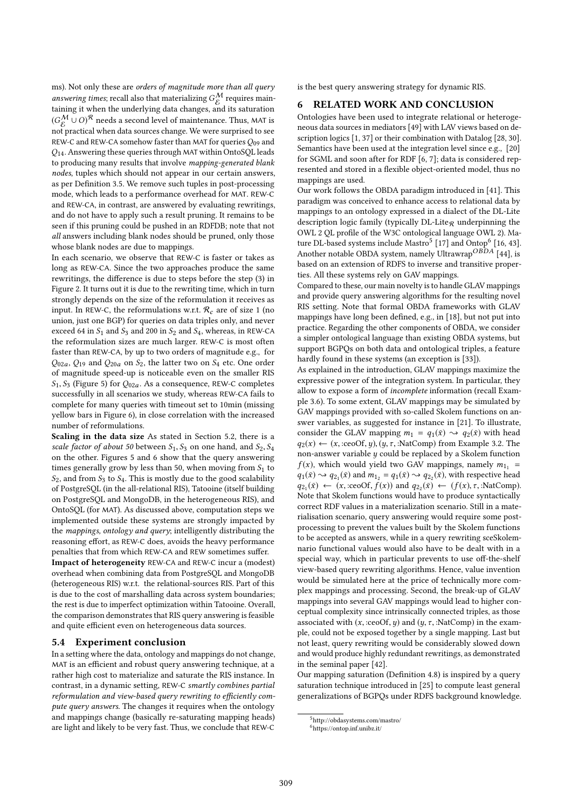ms). Not only these are orders of magnitude more than all query answering times; recall also that materializing  $G_K^{\mathcal{M}}$  requires main-<br>taining it when the underlying data changes, and its saturation taining it when the underlying data changes, and its saturation  $(G_{\mathcal{E}}^{\mathcal{M}} \cup O)^{\mathcal{R}}$  needs a second level of maintenance. Thus, MAT is<br>not prectical when data sources change. We were surprised to see not practical when data sources change. We were surprised to see REW-C and REW-CA somehow faster than MAT for queries  $Q_{09}$  and Q14. Answering these queries through MAT within OntoSQL leads to producing many results that involve mapping-generated blank nodes, tuples which should not appear in our certain answers, as per Definition 3.5. We remove such tuples in post-processing mode, which leads to a performance overhead for MAT. REW-C and REW-CA, in contrast, are answered by evaluating rewritings, and do not have to apply such a result pruning. It remains to be seen if this pruning could be pushed in an RDFDB; note that not all answers including blank nodes should be pruned, only those whose blank nodes are due to mappings.

In each scenario, we observe that REW-C is faster or takes as long as REW-CA. Since the two approaches produce the same rewritings, the difference is due to steps before the step (3) in Figure 2. It turns out it is due to the rewriting time, which in turn strongly depends on the size of the reformulation it receives as input. In REW-C, the reformulations w.r.t.  $\mathcal{R}_c$  are of size 1 (no union, just one BGP) for queries on data triples only, and never exceed 64 in  $S_1$  and  $S_3$  and 200 in  $S_2$  and  $S_4$ , whereas, in REW-CA the reformulation sizes are much larger. REW-C is most often faster than REW-CA, by up to two orders of magnitude e.g., for  $Q_{02a}$ ,  $Q_{19}$  and  $Q_{20a}$  on  $S_2$ , the latter two on  $S_4$  etc. One order of magnitude speed-up is noticeable even on the smaller RIS  $S_1, S_3$  (Figure 5) for  $Q_{02a}$ . As a consequence, REW-C completes successfully in all scenarios we study, whereas REW-CA fails to complete for many queries with timeout set to 10min (missing yellow bars in Figure 6), in close correlation with the increased number of reformulations.

Scaling in the data size As stated in Section 5.2, there is a scale factor of about 50 between  $S_1$ ,  $S_3$  on one hand, and  $S_2$ ,  $S_4$ on the other. Figures 5 and 6 show that the query answering times generally grow by less than 50, when moving from  $S_1$  to  $S_2$ , and from  $S_3$  to  $S_4$ . This is mostly due to the good scalability of PostgreSQL (in the all-relational RIS), Tatooine (itself building on PostgreSQL and MongoDB, in the heterogeneous RIS), and OntoSQL (for MAT). As discussed above, computation steps we implemented outside these systems are strongly impacted by the mappings, ontology and query; intelligently distributing the reasoning effort, as REW-C does, avoids the heavy performance penalties that from which REW-CA and REW sometimes suffer.

Impact of heterogeneity REW-CA and REW-C incur a (modest) overhead when combining data from PostgreSQL and MongoDB (heterogeneous RIS) w.r.t. the relational-sources RIS. Part of this is due to the cost of marshalling data across system boundaries; the rest is due to imperfect optimization within Tatooine. Overall, the comparison demonstrates that RIS query answering is feasible and quite efficient even on heterogeneous data sources.

#### 5.4 Experiment conclusion

In a setting where the data, ontology and mappings do not change, MAT is an efficient and robust query answering technique, at a rather high cost to materialize and saturate the RIS instance. In contrast, in a dynamic setting, REW-C smartly combines partial reformulation and view-based query rewriting to efficiently compute query answers. The changes it requires when the ontology and mappings change (basically re-saturating mapping heads) are light and likely to be very fast. Thus, we conclude that REW-C

is the best query answering strategy for dynamic RIS.

### 6 RELATED WORK AND CONCLUSION

Ontologies have been used to integrate relational or heterogeneous data sources in mediators [49] with LAV views based on description logics [1, 37] or their combination with Datalog [28, 30]. Semantics have been used at the integration level since e.g., [20] for SGML and soon after for RDF [6, 7]; data is considered represented and stored in a flexible object-oriented model, thus no mappings are used.

Our work follows the OBDA paradigm introduced in [41]. This paradigm was conceived to enhance access to relational data by mappings to an ontology expressed in a dialect of the DL-Lite description logic family (typically  $DL\text{-}Life_R$  underpinning the OWL 2 QL profile of the W3C ontological language OWL 2). Mature DL-based systems include Mastro<sup>5</sup> [17] and Ontop<sup>6</sup> [16, 43]. Another notable OBDA system, namely Ultrawrap<sup>OBDA</sup> [44], is based on an extension of RDFS to inverse and transitive properties. All these systems rely on GAV mappings.

Compared to these, our main novelty is to handle GLAV mappings and provide query answering algorithms for the resulting novel RIS setting. Note that formal OBDA frameworks with GLAV mappings have long been defined, e.g., in [18], but not put into practice. Regarding the other components of OBDA, we consider a simpler ontological language than existing OBDA systems, but support BGPQs on both data and ontological triples, a feature hardly found in these systems (an exception is [33]).

As explained in the introduction, GLAV mappings maximize the expressive power of the integration system. In particular, they allow to expose a form of incomplete information (recall Example 3.6). To some extent, GLAV mappings may be simulated by GAV mappings provided with so-called Skolem functions on answer variables, as suggested for instance in [21]. To illustrate, consider the GLAV mapping  $m_1 = q_1(\bar{x}) \rightarrow q_2(\bar{x})$  with head  $q_2(x) \leftarrow (x, \text{ceoOf}, y), (y, \tau, \text{ch}(\text{Comp}) \text{ from Example 3.2.}$  The non-answer variable  $y$  could be replaced by a Skolem function  $f(x)$ , which would yield two GAV mappings, namely  $m_{1<sub>1</sub>}$  =  $q_1(\bar{x}) \rightsquigarrow q_{2_1}(\bar{x})$  and  $m_{1_2} = q_1(\bar{x}) \rightsquigarrow q_{2_2}(\bar{x})$ , with respective head  $q_{2_1}(\bar{x}) \leftarrow (x, \text{ceoOf}, f(x))$  and  $q_{2_2}(\bar{x}) \leftarrow (f(x), \tau, \text{NatComp})$ .<br>Note that Skolem functions would have to produce syntactically Note that Skolem functions would have to produce syntactically correct RDF values in a materialization scenario. Still in a materialisation scenario, query answering would require some postprocessing to prevent the values built by the Skolem functions to be accepted as answers, while in a query rewriting sceSkolemnario functional values would also have to be dealt with in a special way, which in particular prevents to use off-the-shelf view-based query rewriting algorithms. Hence, value invention would be simulated here at the price of technically more complex mappings and processing. Second, the break-up of GLAV mappings into several GAV mappings would lead to higher conceptual complexity since intrinsically connected triples, as those associated with  $(x, :ceoOf, y)$  and  $(y, \tau, :NatComp)$  in the example, could not be exposed together by a single mapping. Last but not least, query rewriting would be considerably slowed down and would produce highly redundant rewritings, as demonstrated in the seminal paper [42].

Our mapping saturation (Definition 4.8) is inspired by a query saturation technique introduced in [25] to compute least general generalizations of BGPQs under RDFS background knowledge.

<sup>&</sup>lt;sup>5</sup>http://obdasystems.com/mastro/

<sup>6</sup>https://ontop.inf.unibz.it/